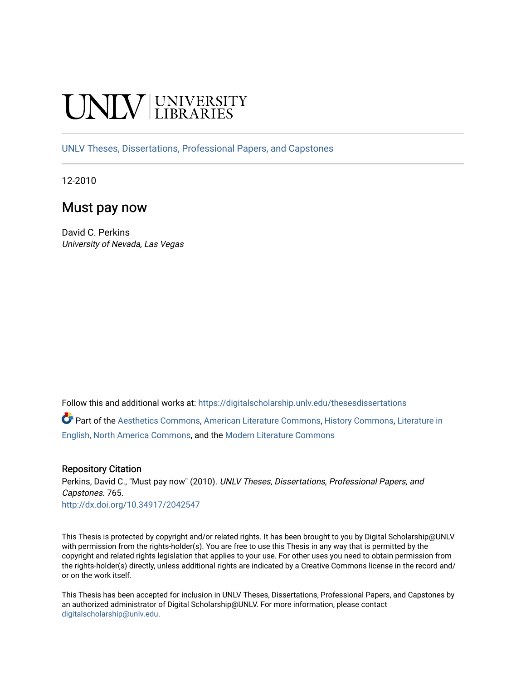# **INIVERSITY**

[UNLV Theses, Dissertations, Professional Papers, and Capstones](https://digitalscholarship.unlv.edu/thesesdissertations)

12-2010

# Must pay now

David C. Perkins University of Nevada, Las Vegas

Follow this and additional works at: [https://digitalscholarship.unlv.edu/thesesdissertations](https://digitalscholarship.unlv.edu/thesesdissertations?utm_source=digitalscholarship.unlv.edu%2Fthesesdissertations%2F765&utm_medium=PDF&utm_campaign=PDFCoverPages)

Part of the [Aesthetics Commons,](http://network.bepress.com/hgg/discipline/528?utm_source=digitalscholarship.unlv.edu%2Fthesesdissertations%2F765&utm_medium=PDF&utm_campaign=PDFCoverPages) [American Literature Commons](http://network.bepress.com/hgg/discipline/441?utm_source=digitalscholarship.unlv.edu%2Fthesesdissertations%2F765&utm_medium=PDF&utm_campaign=PDFCoverPages), [History Commons](http://network.bepress.com/hgg/discipline/489?utm_source=digitalscholarship.unlv.edu%2Fthesesdissertations%2F765&utm_medium=PDF&utm_campaign=PDFCoverPages), [Literature in](http://network.bepress.com/hgg/discipline/458?utm_source=digitalscholarship.unlv.edu%2Fthesesdissertations%2F765&utm_medium=PDF&utm_campaign=PDFCoverPages) [English, North America Commons](http://network.bepress.com/hgg/discipline/458?utm_source=digitalscholarship.unlv.edu%2Fthesesdissertations%2F765&utm_medium=PDF&utm_campaign=PDFCoverPages), and the [Modern Literature Commons](http://network.bepress.com/hgg/discipline/1050?utm_source=digitalscholarship.unlv.edu%2Fthesesdissertations%2F765&utm_medium=PDF&utm_campaign=PDFCoverPages) 

#### Repository Citation

Perkins, David C., "Must pay now" (2010). UNLV Theses, Dissertations, Professional Papers, and Capstones. 765.

<http://dx.doi.org/10.34917/2042547>

This Thesis is protected by copyright and/or related rights. It has been brought to you by Digital Scholarship@UNLV with permission from the rights-holder(s). You are free to use this Thesis in any way that is permitted by the copyright and related rights legislation that applies to your use. For other uses you need to obtain permission from the rights-holder(s) directly, unless additional rights are indicated by a Creative Commons license in the record and/ or on the work itself.

This Thesis has been accepted for inclusion in UNLV Theses, Dissertations, Professional Papers, and Capstones by an authorized administrator of Digital Scholarship@UNLV. For more information, please contact [digitalscholarship@unlv.edu](mailto:digitalscholarship@unlv.edu).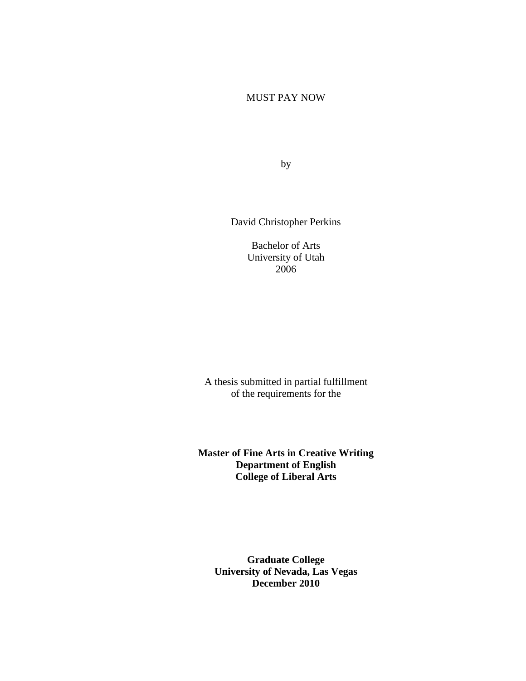# MUST PAY NOW

by

David Christopher Perkins

Bachelor of Arts University of Utah 2006

A thesis submitted in partial fulfillment of the requirements for the

**Master of Fine Arts in Creative Writing Department of English College of Liberal Arts**

**Graduate College University of Nevada, Las Vegas December 2010**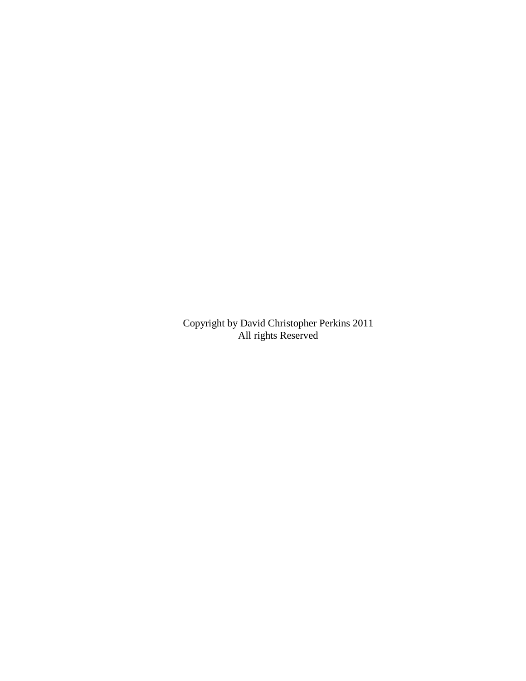Copyright by David Christopher Perkins 2011 All rights Reserved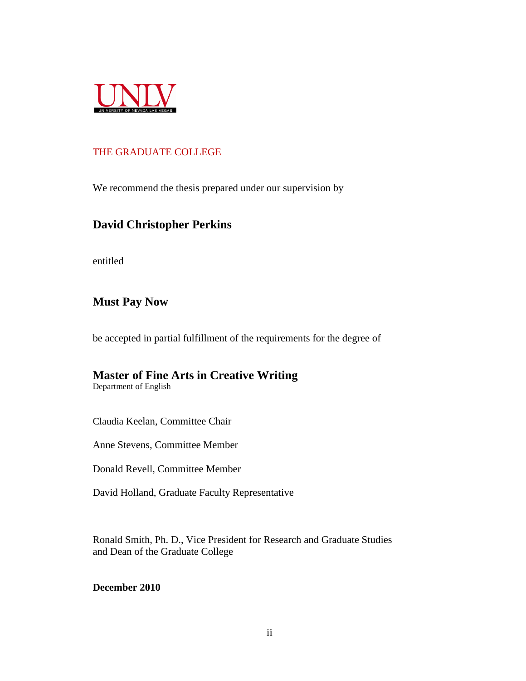

# THE GRADUATE COLLEGE

We recommend the thesis prepared under our supervision by

# **David Christopher Perkins**

entitled

# **Must Pay Now**

be accepted in partial fulfillment of the requirements for the degree of

# **Master of Fine Arts in Creative Writing**

Department of English

Claudia Keelan, Committee Chair

Anne Stevens, Committee Member

Donald Revell, Committee Member

David Holland, Graduate Faculty Representative

Ronald Smith, Ph. D., Vice President for Research and Graduate Studies and Dean of the Graduate College

# **December 2010**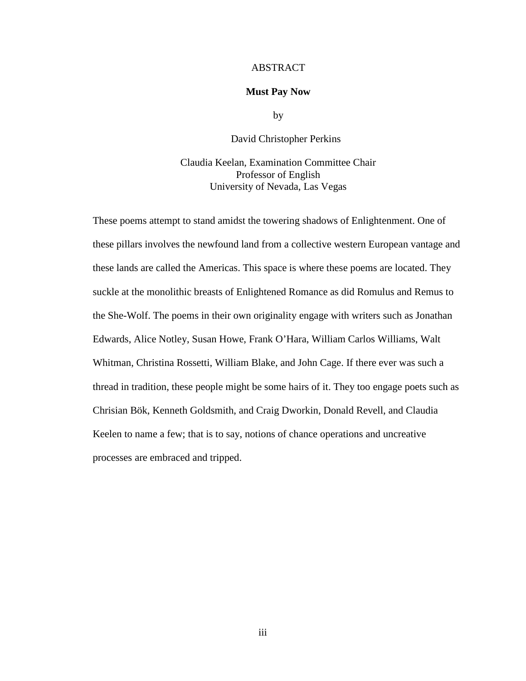#### ABSTRACT

#### **Must Pay Now**

by

David Christopher Perkins

Claudia Keelan, Examination Committee Chair Professor of English University of Nevada, Las Vegas

These poems attempt to stand amidst the towering shadows of Enlightenment. One of these pillars involves the newfound land from a collective western European vantage and these lands are called the Americas. This space is where these poems are located. They suckle at the monolithic breasts of Enlightened Romance as did Romulus and Remus to the She-Wolf. The poems in their own originality engage with writers such as Jonathan Edwards, Alice Notley, Susan Howe, Frank O'Hara, William Carlos Williams, Walt Whitman, Christina Rossetti, William Blake, and John Cage. If there ever was such a thread in tradition, these people might be some hairs of it. They too engage poets such as Chrisian Bök, Kenneth Goldsmith, and Craig Dworkin, Donald Revell, and Claudia Keelen to name a few; that is to say, notions of chance operations and uncreative processes are embraced and tripped.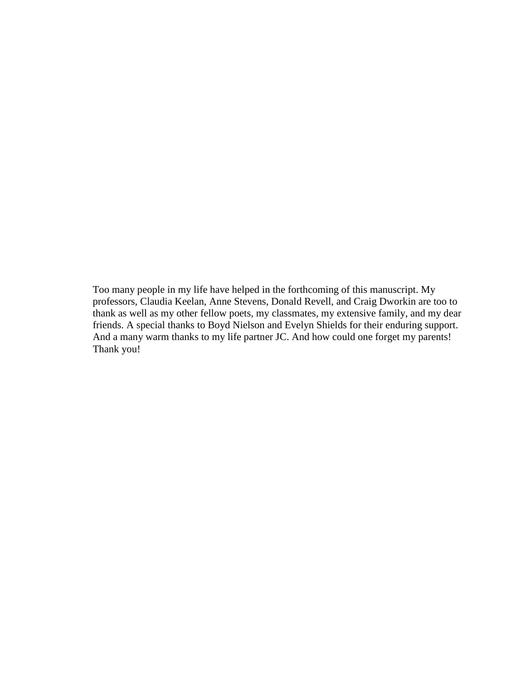Too many people in my life have helped in the forthcoming of this manuscript. My professors, Claudia Keelan, Anne Stevens, Donald Revell, and Craig Dworkin are too to thank as well as my other fellow poets, my classmates, my extensive family, and my dear friends. A special thanks to Boyd Nielson and Evelyn Shields for their enduring support. And a many warm thanks to my life partner JC. And how could one forget my parents! Thank you!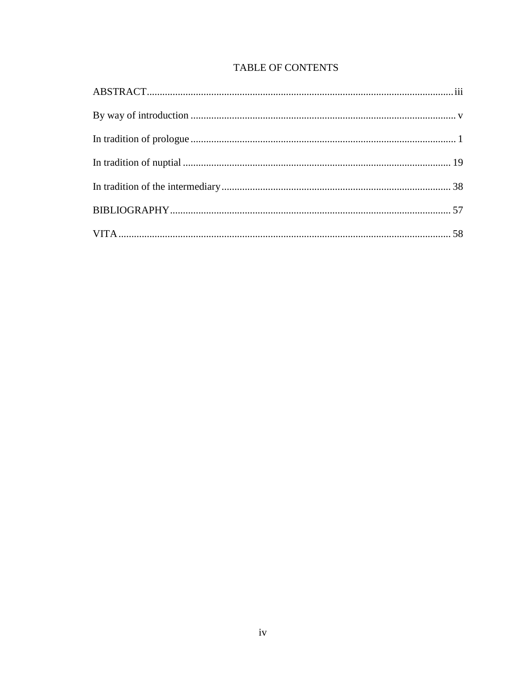# **TABLE OF CONTENTS**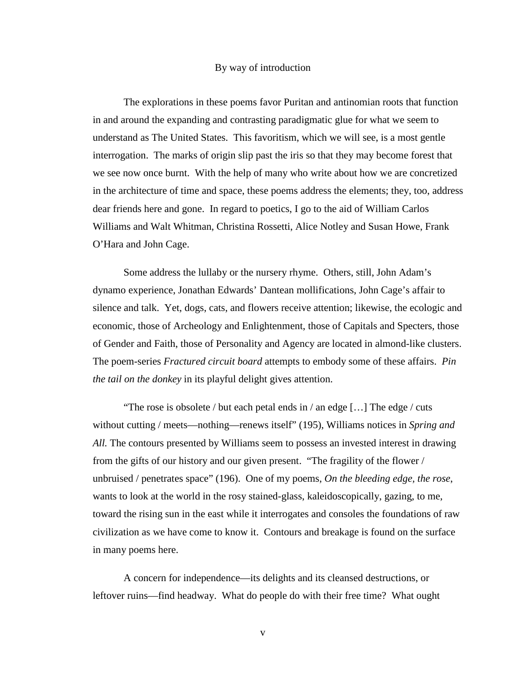#### By way of introduction

The explorations in these poems favor Puritan and antinomian roots that function in and around the expanding and contrasting paradigmatic glue for what we seem to understand as The United States. This favoritism, which we will see, is a most gentle interrogation. The marks of origin slip past the iris so that they may become forest that we see now once burnt. With the help of many who write about how we are concretized in the architecture of time and space, these poems address the elements; they, too, address dear friends here and gone. In regard to poetics, I go to the aid of William Carlos Williams and Walt Whitman, Christina Rossetti, Alice Notley and Susan Howe, Frank O'Hara and John Cage.

Some address the lullaby or the nursery rhyme. Others, still, John Adam's dynamo experience, Jonathan Edwards' Dantean mollifications, John Cage's affair to silence and talk. Yet, dogs, cats, and flowers receive attention; likewise, the ecologic and economic, those of Archeology and Enlightenment, those of Capitals and Specters, those of Gender and Faith, those of Personality and Agency are located in almond-like clusters. The poem-series *Fractured circuit board* attempts to embody some of these affairs. *Pin the tail on the donkey* in its playful delight gives attention.

"The rose is obsolete / but each petal ends in / an edge […] The edge / cuts without cutting / meets—nothing—renews itself" (195), Williams notices in *Spring and All.* The contours presented by Williams seem to possess an invested interest in drawing from the gifts of our history and our given present. "The fragility of the flower / unbruised / penetrates space" (196). One of my poems, *On the bleeding edge, the rose*, wants to look at the world in the rosy stained-glass, kaleidoscopically, gazing, to me, toward the rising sun in the east while it interrogates and consoles the foundations of raw civilization as we have come to know it. Contours and breakage is found on the surface in many poems here.

A concern for independence—its delights and its cleansed destructions, or leftover ruins—find headway. What do people do with their free time? What ought

v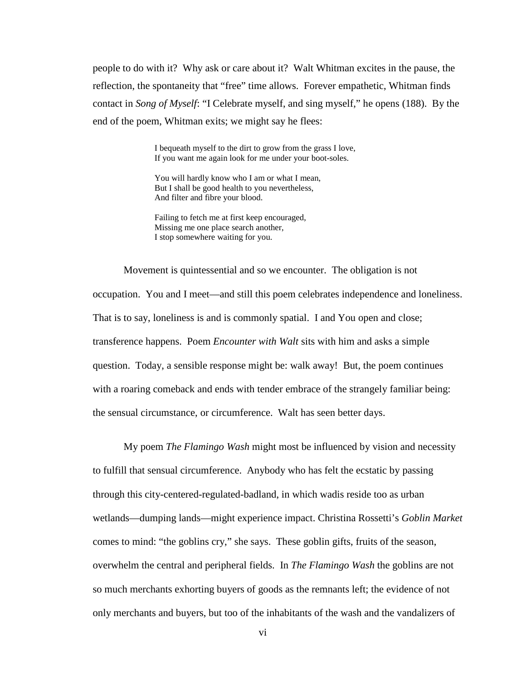people to do with it? Why ask or care about it? Walt Whitman excites in the pause, the reflection, the spontaneity that "free" time allows. Forever empathetic, Whitman finds contact in *Song of Myself*: "I Celebrate myself, and sing myself," he opens (188). By the end of the poem, Whitman exits; we might say he flees:

> I bequeath myself to the dirt to grow from the grass I love, If you want me again look for me under your boot-soles.

You will hardly know who I am or what I mean, But I shall be good health to you nevertheless, And filter and fibre your blood.

Failing to fetch me at first keep encouraged, Missing me one place search another, I stop somewhere waiting for you.

Movement is quintessential and so we encounter. The obligation is not occupation. You and I meet—and still this poem celebrates independence and loneliness. That is to say, loneliness is and is commonly spatial. I and You open and close; transference happens. Poem *Encounter with Walt* sits with him and asks a simple question. Today, a sensible response might be: walk away! But, the poem continues with a roaring comeback and ends with tender embrace of the strangely familiar being: the sensual circumstance, or circumference. Walt has seen better days.

My poem *The Flamingo Wash* might most be influenced by vision and necessity to fulfill that sensual circumference. Anybody who has felt the ecstatic by passing through this city-centered-regulated-badland, in which wadis reside too as urban wetlands—dumping lands—might experience impact. Christina Rossetti's *Goblin Market* comes to mind: "the goblins cry," she says. These goblin gifts, fruits of the season, overwhelm the central and peripheral fields. In *The Flamingo Wash* the goblins are not so much merchants exhorting buyers of goods as the remnants left; the evidence of not only merchants and buyers, but too of the inhabitants of the wash and the vandalizers of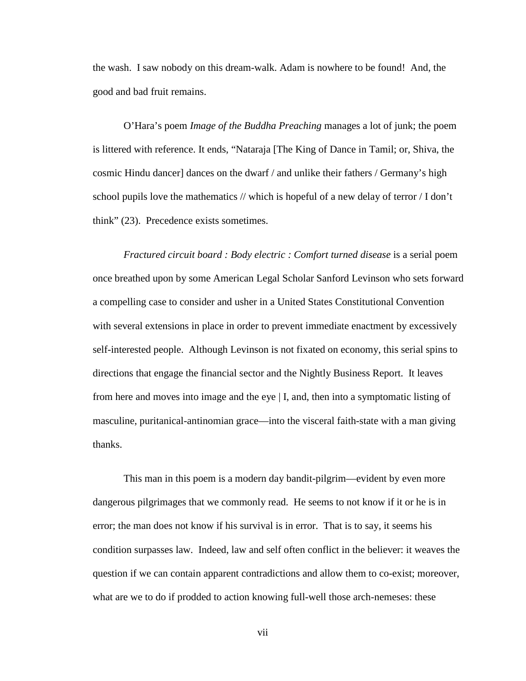the wash. I saw nobody on this dream-walk. Adam is nowhere to be found! And, the good and bad fruit remains.

O'Hara's poem *Image of the Buddha Preaching* manages a lot of junk; the poem is littered with reference. It ends, "Nataraja [The King of Dance in Tamil; or, Shiva, the cosmic Hindu dancer] dances on the dwarf / and unlike their fathers / Germany's high school pupils love the mathematics // which is hopeful of a new delay of terror  $/1$  don't think" (23). Precedence exists sometimes.

*Fractured circuit board : Body electric : Comfort turned disease* is a serial poem once breathed upon by some American Legal Scholar Sanford Levinson who sets forward a compelling case to consider and usher in a United States Constitutional Convention with several extensions in place in order to prevent immediate enactment by excessively self-interested people. Although Levinson is not fixated on economy, this serial spins to directions that engage the financial sector and the Nightly Business Report. It leaves from here and moves into image and the eye | I, and, then into a symptomatic listing of masculine, puritanical-antinomian grace—into the visceral faith-state with a man giving thanks.

This man in this poem is a modern day bandit-pilgrim—evident by even more dangerous pilgrimages that we commonly read. He seems to not know if it or he is in error; the man does not know if his survival is in error. That is to say, it seems his condition surpasses law. Indeed, law and self often conflict in the believer: it weaves the question if we can contain apparent contradictions and allow them to co-exist; moreover, what are we to do if prodded to action knowing full-well those arch-nemeses: these

vii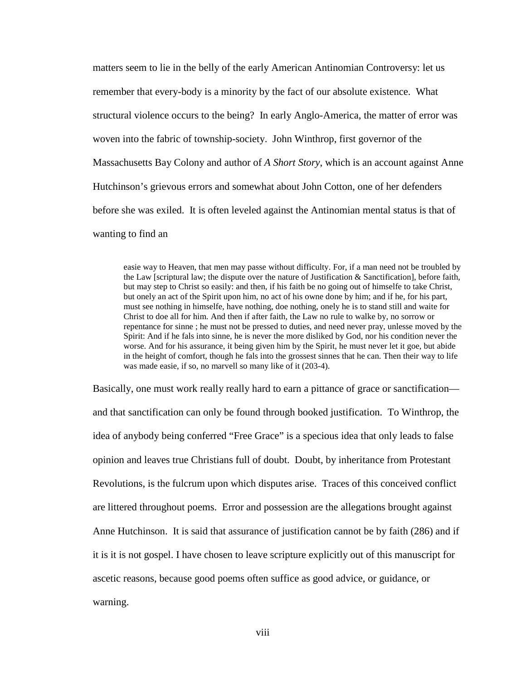matters seem to lie in the belly of the early American Antinomian Controversy: let us remember that every-body is a minority by the fact of our absolute existence. What structural violence occurs to the being? In early Anglo-America, the matter of error was woven into the fabric of township-society. John Winthrop, first governor of the Massachusetts Bay Colony and author of *A Short Story*, which is an account against Anne Hutchinson's grievous errors and somewhat about John Cotton, one of her defenders before she was exiled. It is often leveled against the Antinomian mental status is that of wanting to find an

easie way to Heaven, that men may passe without difficulty. For, if a man need not be troubled by the Law [scriptural law; the dispute over the nature of Justification  $\&$  Sanctification], before faith, but may step to Christ so easily: and then, if his faith be no going out of himselfe to take Christ, but onely an act of the Spirit upon him, no act of his owne done by him; and if he, for his part, must see nothing in himselfe, have nothing, doe nothing, onely he is to stand still and waite for Christ to doe all for him. And then if after faith, the Law no rule to walke by, no sorrow or repentance for sinne ; he must not be pressed to duties, and need never pray, unlesse moved by the Spirit: And if he fals into sinne, he is never the more disliked by God, nor his condition never the worse. And for his assurance, it being given him by the Spirit, he must never let it goe, but abide in the height of comfort, though he fals into the grossest sinnes that he can. Then their way to life was made easie, if so, no marvell so many like of it (203-4).

Basically, one must work really really hard to earn a pittance of grace or sanctification and that sanctification can only be found through booked justification. To Winthrop, the idea of anybody being conferred "Free Grace" is a specious idea that only leads to false opinion and leaves true Christians full of doubt. Doubt, by inheritance from Protestant Revolutions, is the fulcrum upon which disputes arise. Traces of this conceived conflict are littered throughout poems. Error and possession are the allegations brought against Anne Hutchinson. It is said that assurance of justification cannot be by faith (286) and if it is it is not gospel. I have chosen to leave scripture explicitly out of this manuscript for ascetic reasons, because good poems often suffice as good advice, or guidance, or warning.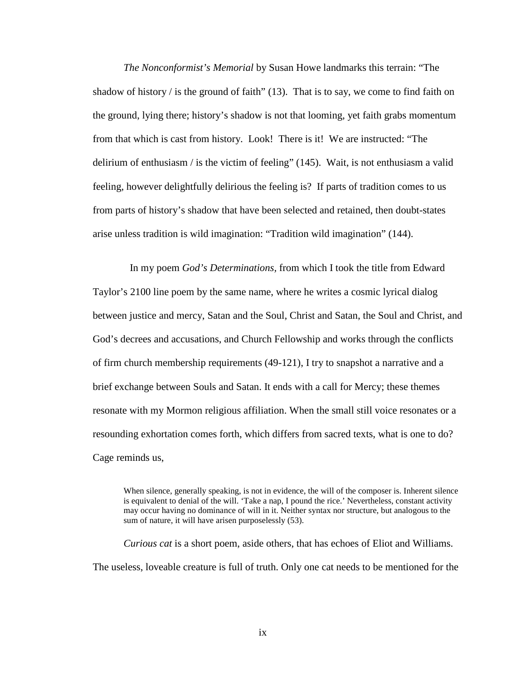*The Nonconformist's Memorial* by Susan Howe landmarks this terrain: "The shadow of history  $\ell$  is the ground of faith" (13). That is to say, we come to find faith on the ground, lying there; history's shadow is not that looming, yet faith grabs momentum from that which is cast from history. Look! There is it! We are instructed: "The delirium of enthusiasm / is the victim of feeling" (145). Wait, is not enthusiasm a valid feeling, however delightfully delirious the feeling is? If parts of tradition comes to us from parts of history's shadow that have been selected and retained, then doubt-states arise unless tradition is wild imagination: "Tradition wild imagination" (144).

In my poem *God's Determinations,* from which I took the title from Edward Taylor's 2100 line poem by the same name, where he writes a cosmic lyrical dialog between justice and mercy, Satan and the Soul, Christ and Satan, the Soul and Christ, and God's decrees and accusations, and Church Fellowship and works through the conflicts of firm church membership requirements (49-121), I try to snapshot a narrative and a brief exchange between Souls and Satan. It ends with a call for Mercy; these themes resonate with my Mormon religious affiliation. When the small still voice resonates or a resounding exhortation comes forth, which differs from sacred texts, what is one to do? Cage reminds us,

When silence, generally speaking, is not in evidence, the will of the composer is. Inherent silence is equivalent to denial of the will. 'Take a nap, I pound the rice.' Nevertheless, constant activity may occur having no dominance of will in it. Neither syntax nor structure, but analogous to the sum of nature, it will have arisen purposelessly (53).

*Curious cat* is a short poem, aside others, that has echoes of Eliot and Williams. The useless, loveable creature is full of truth. Only one cat needs to be mentioned for the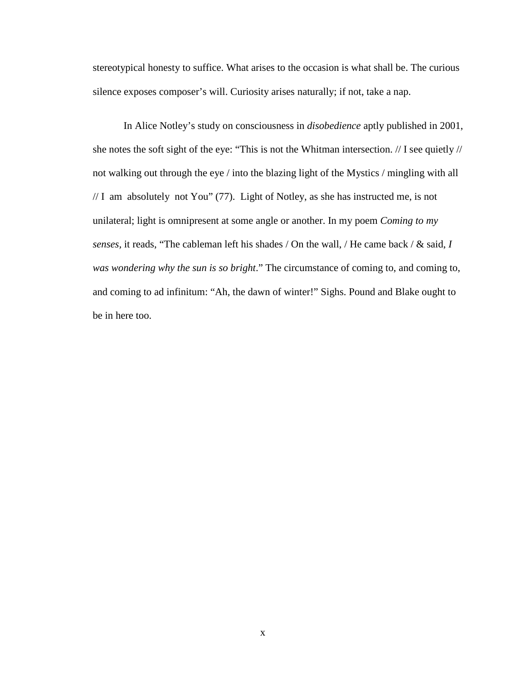stereotypical honesty to suffice. What arises to the occasion is what shall be. The curious silence exposes composer's will. Curiosity arises naturally; if not, take a nap.

In Alice Notley's study on consciousness in *disobedience* aptly published in 2001, she notes the soft sight of the eye: "This is not the Whitman intersection. // I see quietly // not walking out through the eye / into the blazing light of the Mystics / mingling with all // I am absolutely not You" (77). Light of Notley, as she has instructed me, is not unilateral; light is omnipresent at some angle or another. In my poem *Coming to my senses,* it reads, "The cableman left his shades / On the wall, / He came back / & said, *I was wondering why the sun is so bright*." The circumstance of coming to, and coming to, and coming to ad infinitum: "Ah, the dawn of winter!" Sighs. Pound and Blake ought to be in here too.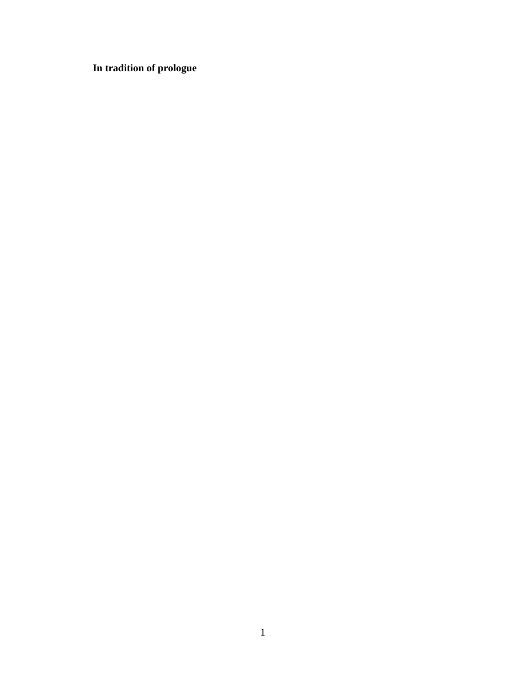**In tradition of prologue**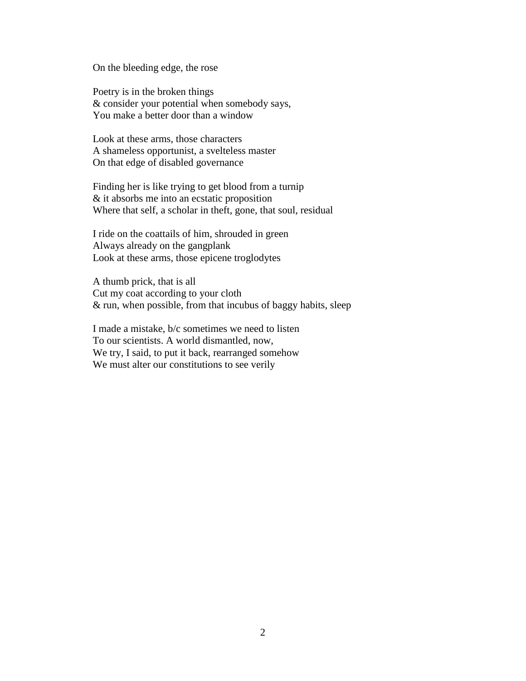On the bleeding edge, the rose

Poetry is in the broken things & consider your potential when somebody says, You make a better door than a window

Look at these arms, those characters A shameless opportunist, a svelteless master On that edge of disabled governance

Finding her is like trying to get blood from a turnip & it absorbs me into an ecstatic proposition Where that self, a scholar in theft, gone, that soul, residual

I ride on the coattails of him, shrouded in green Always already on the gangplank Look at these arms, those epicene troglodytes

A thumb prick, that is all Cut my coat according to your cloth & run, when possible, from that incubus of baggy habits, sleep

I made a mistake, b/c sometimes we need to listen To our scientists. A world dismantled, now, We try, I said, to put it back, rearranged somehow We must alter our constitutions to see verily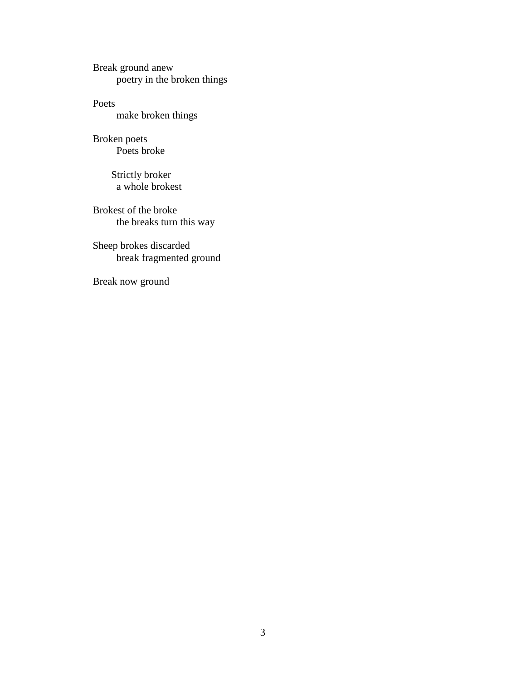Break ground anew poetry in the broken things

Poets make broken things

Broken poets Poets broke

> Strictly broker a whole brokest

Brokest of the broke the breaks turn this way

Sheep brokes discarded break fragmented ground

Break now ground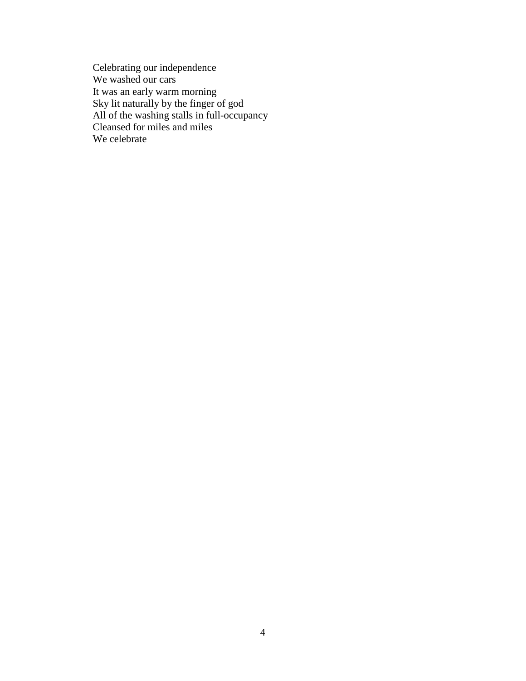Celebrating our independence We washed our cars It was an early warm morning Sky lit naturally by the finger of god All of the washing stalls in full-occupancy Cleansed for miles and miles We celebrate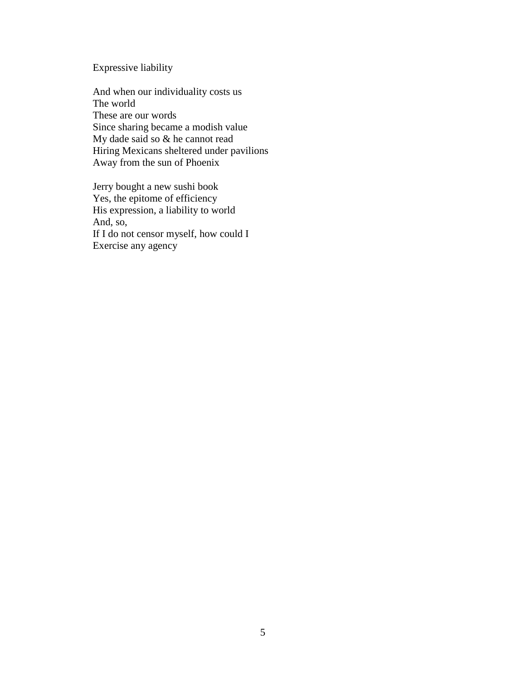# Expressive liability

And when our individuality costs us The world These are our words Since sharing became a modish value My dade said so & he cannot read Hiring Mexicans sheltered under pavilions Away from the sun of Phoenix

Jerry bought a new sushi book Yes, the epitome of efficiency His expression, a liability to world And, so, If I do not censor myself, how could I Exercise any agency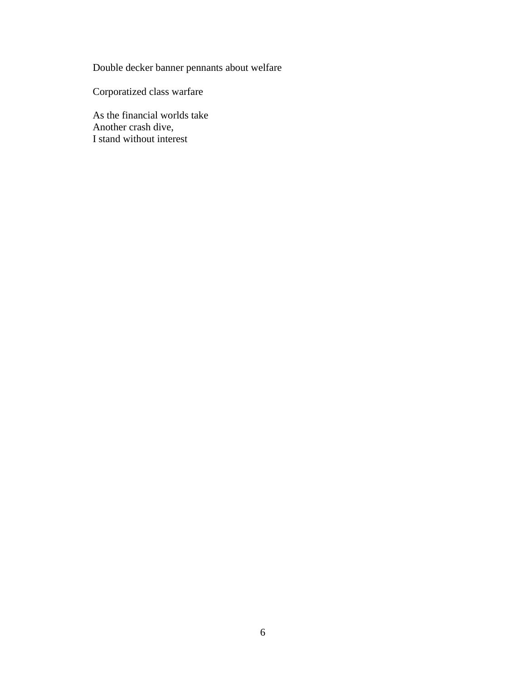Double decker banner pennants about welfare

Corporatized class warfare

As the financial worlds take Another crash dive, I stand without interest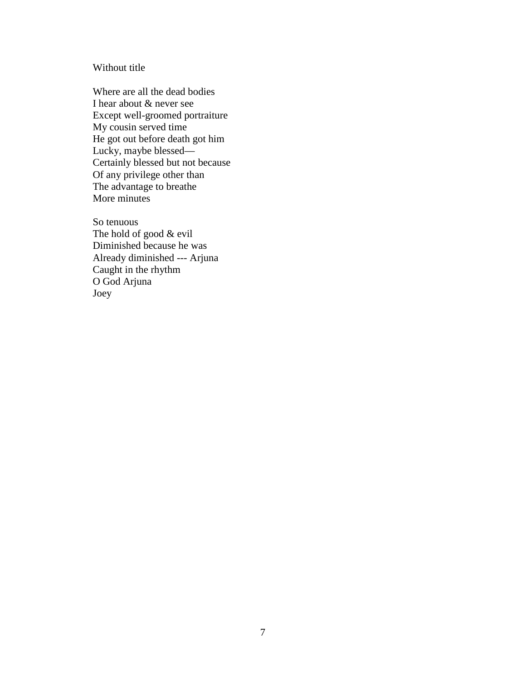# Without title

Where are all the dead bodies I hear about & never see Except well-groomed portraiture My cousin served time He got out before death got him Lucky, maybe blessed— Certainly blessed but not because Of any privilege other than The advantage to breathe More minutes

So tenuous The hold of good & evil Diminished because he was Already diminished --- Arjuna Caught in the rhythm O God Arjuna Joey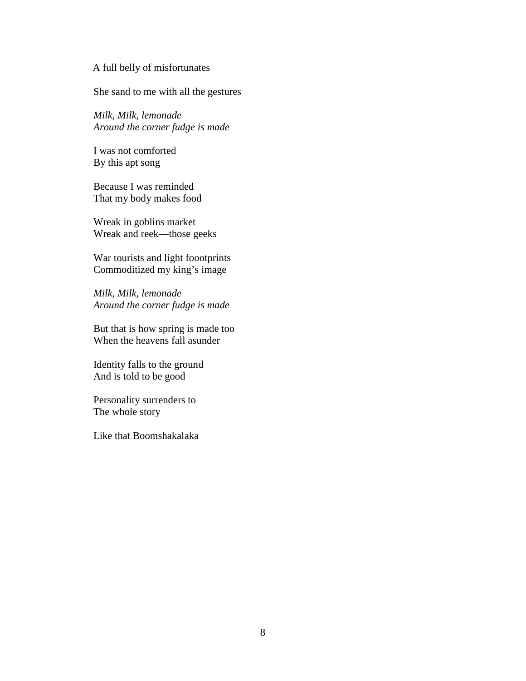#### A full belly of misfortunates

She sand to me with all the gestures

*Milk, Milk, lemonade Around the corner fudge is made*

I was not comforted By this apt song

Because I was reminded That my body makes food

Wreak in goblins market Wreak and reek—those geeks

War tourists and light foootprints Commoditized my king's image

*Milk, Milk, lemonade Around the corner fudge is made*

But that is how spring is made too When the heavens fall asunder

Identity falls to the ground And is told to be good

Personality surrenders to The whole story

Like that Boomshakalaka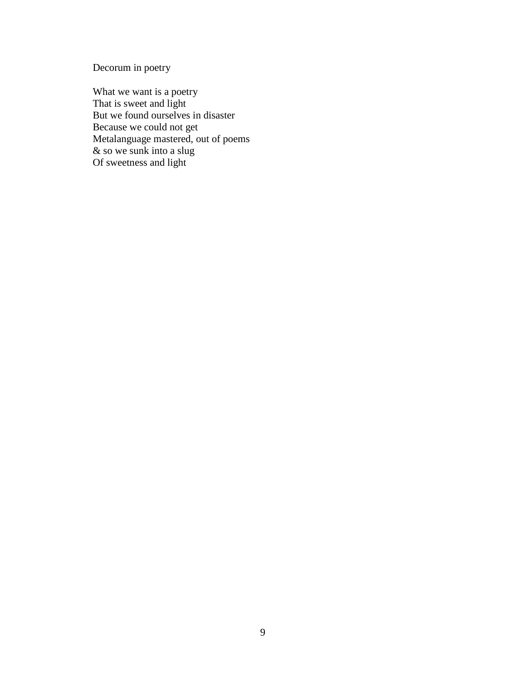Decorum in poetry

What we want is a poetry That is sweet and light But we found ourselves in disaster Because we could not get Metalanguage mastered, out of poems & so we sunk into a slug Of sweetness and light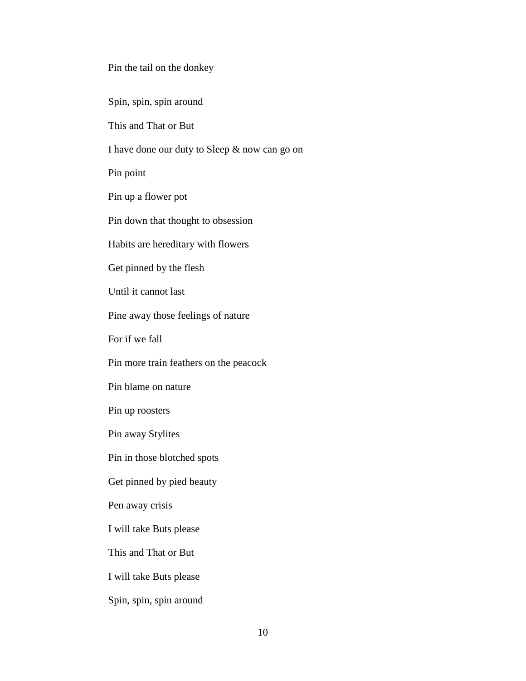Pin the tail on the donkey

Spin, spin, spin around

This and That or But

I have done our duty to Sleep & now can go on

Pin point

Pin up a flower pot

Pin down that thought to obsession

Habits are hereditary with flowers

Get pinned by the flesh

Until it cannot last

Pine away those feelings of nature

For if we fall

Pin more train feathers on the peacock

Pin blame on nature

Pin up roosters

Pin away Stylites

Pin in those blotched spots

Get pinned by pied beauty

Pen away crisis

I will take Buts please

This and That or But

I will take Buts please

Spin, spin, spin around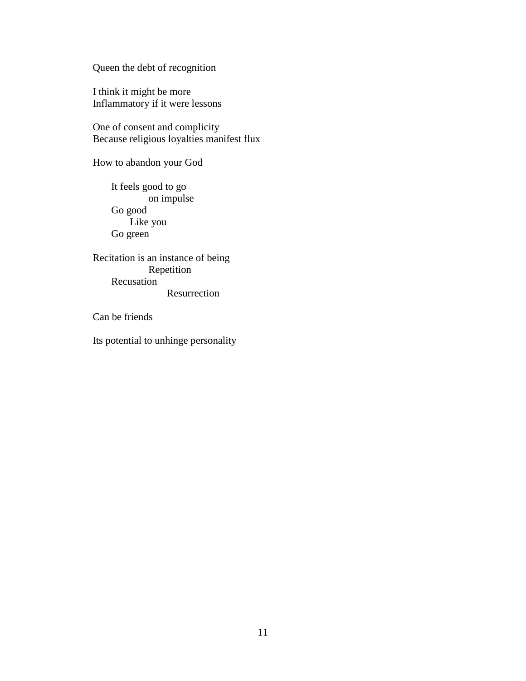Queen the debt of recognition

I think it might be more Inflammatory if it were lessons

One of consent and complicity Because religious loyalties manifest flux

How to abandon your God

It feels good to go on impulse Go good Like you Go green

Recitation is an instance of being Repetition Recusation Resurrection

Can be friends

Its potential to unhinge personality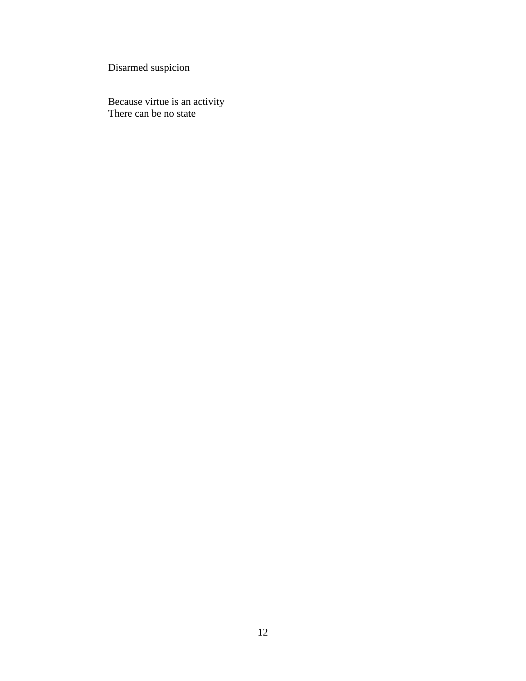Disarmed suspicion

Because virtue is an activity There can be no state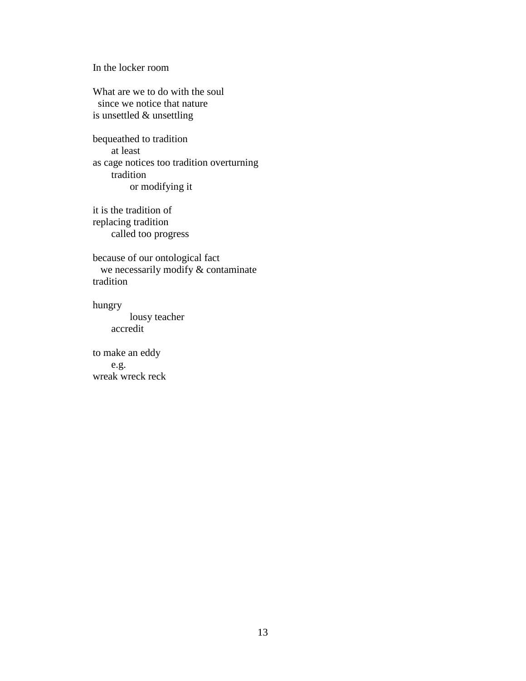In the locker room

What are we to do with the soul since we notice that nature is unsettled & unsettling

bequeathed to tradition at least as cage notices too tradition overturning tradition or modifying it

it is the tradition of replacing tradition called too progress

because of our ontological fact we necessarily modify & contaminate tradition

hungry lousy teacher accredit

to make an eddy e.g. wreak wreck reck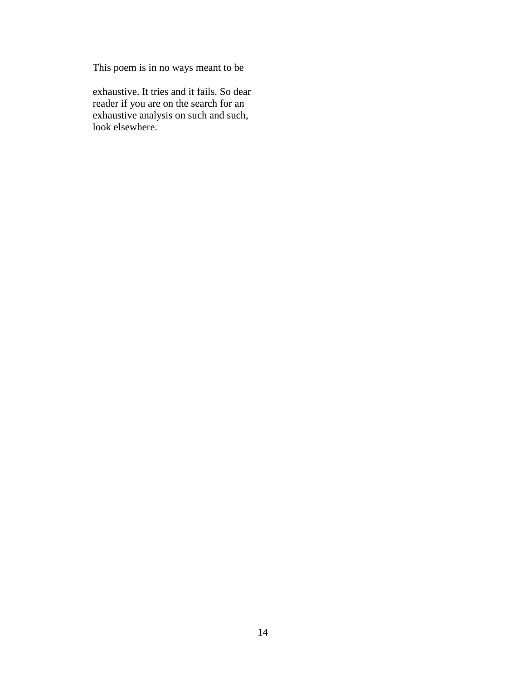This poem is in no ways meant to be

exhaustive. It tries and it fails. So dear reader if you are on the search for an exhaustive analysis on such and such, look elsewhere.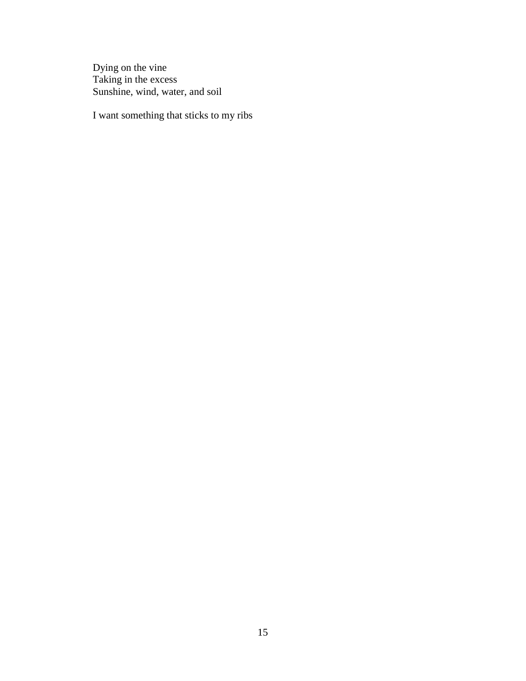Dying on the vine Taking in the excess Sunshine, wind, water, and soil

I want something that sticks to my ribs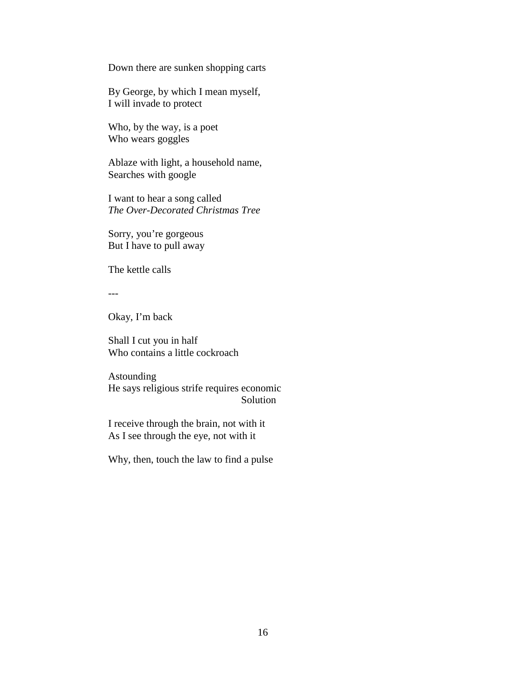Down there are sunken shopping carts

By George, by which I mean myself, I will invade to protect

Who, by the way, is a poet Who wears goggles

Ablaze with light, a household name, Searches with google

I want to hear a song called *The Over-Decorated Christmas Tree*

Sorry, you're gorgeous But I have to pull away

The kettle calls

---

Okay, I'm back

Shall I cut you in half Who contains a little cockroach

Astounding He says religious strife requires economic Solution

I receive through the brain, not with it As I see through the eye, not with it

Why, then, touch the law to find a pulse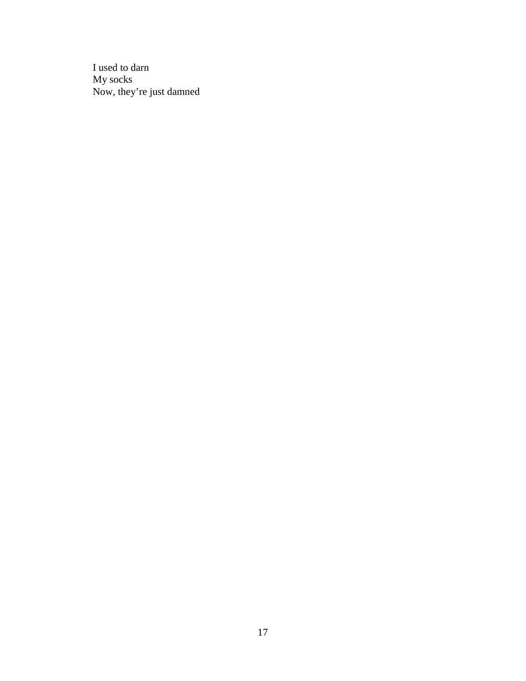I used to darn My socks Now, they're just damned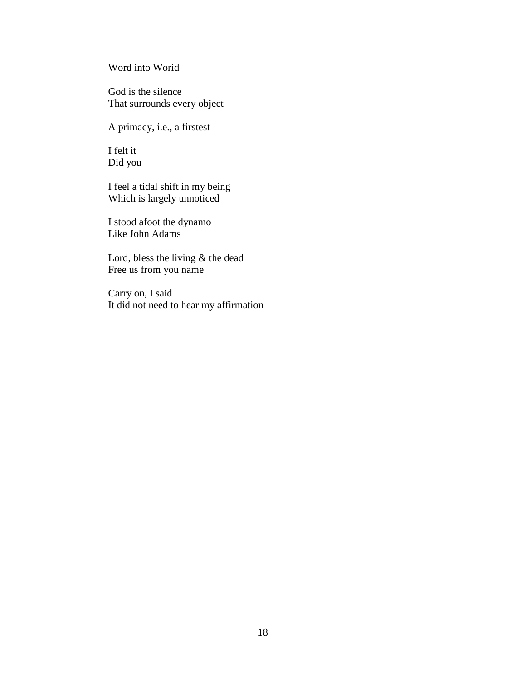Word into Worid

God is the silence That surrounds every object

A primacy, i.e., a firstest

I felt it Did you

I feel a tidal shift in my being Which is largely unnoticed

I stood afoot the dynamo Like John Adams

Lord, bless the living & the dead Free us from you name

Carry on, I said It did not need to hear my affirmation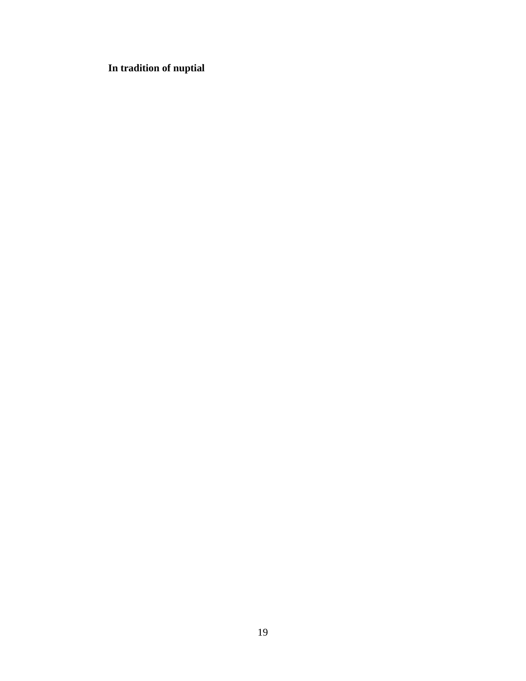# **In tradition of nuptial**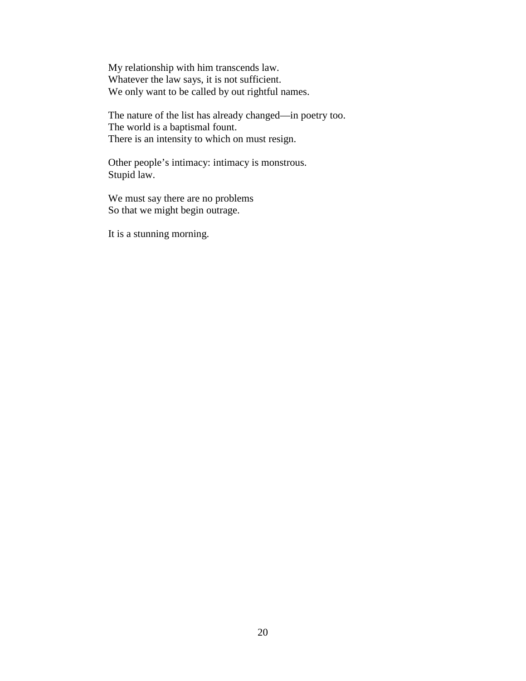My relationship with him transcends law. Whatever the law says, it is not sufficient. We only want to be called by out rightful names.

The nature of the list has already changed—in poetry too. The world is a baptismal fount. There is an intensity to which on must resign.

Other people's intimacy: intimacy is monstrous. Stupid law.

We must say there are no problems So that we might begin outrage.

It is a stunning morning.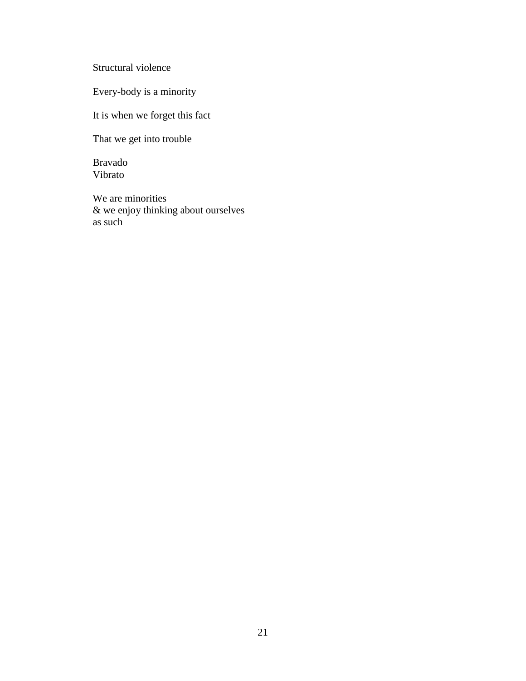Structural violence

Every-body is a minority

It is when we forget this fact

That we get into trouble

Bravado Vibrato

We are minorities & we enjoy thinking about ourselves as such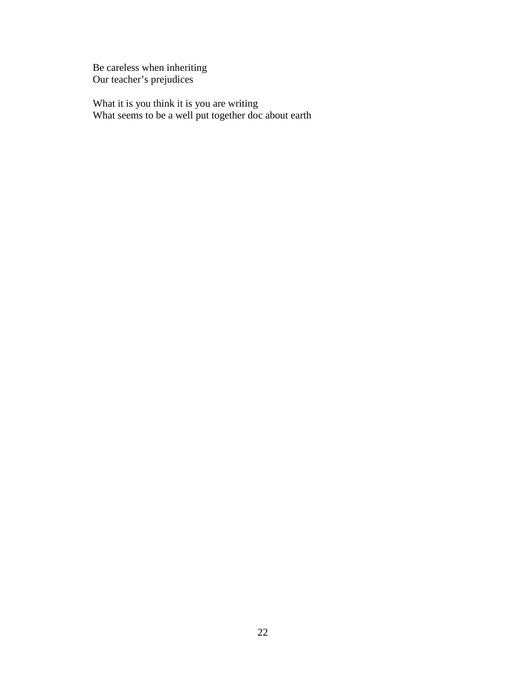Be careless when inheriting Our teacher's prejudices

What it is you think it is you are writing What seems to be a well put together doc about earth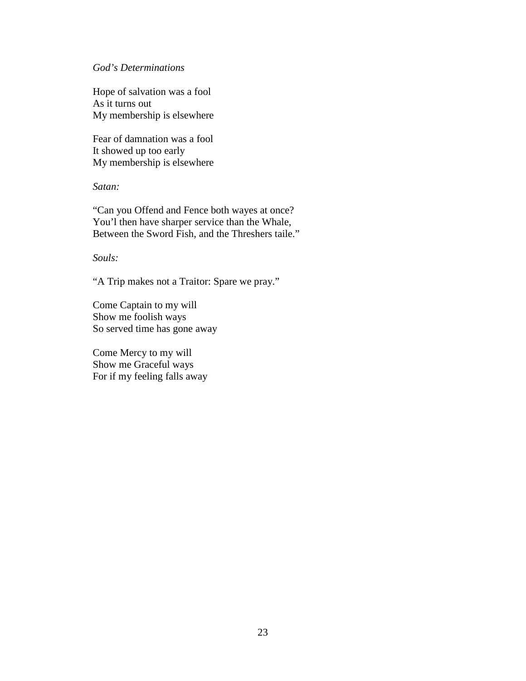#### *God's Determinations*

Hope of salvation was a fool As it turns out My membership is elsewhere

Fear of damnation was a fool It showed up too early My membership is elsewhere

*Satan:*

"Can you Offend and Fence both wayes at once? You'l then have sharper service than the Whale, Between the Sword Fish, and the Threshers taile."

*Souls:*

"A Trip makes not a Traitor: Spare we pray."

Come Captain to my will Show me foolish ways So served time has gone away

Come Mercy to my will Show me Graceful ways For if my feeling falls away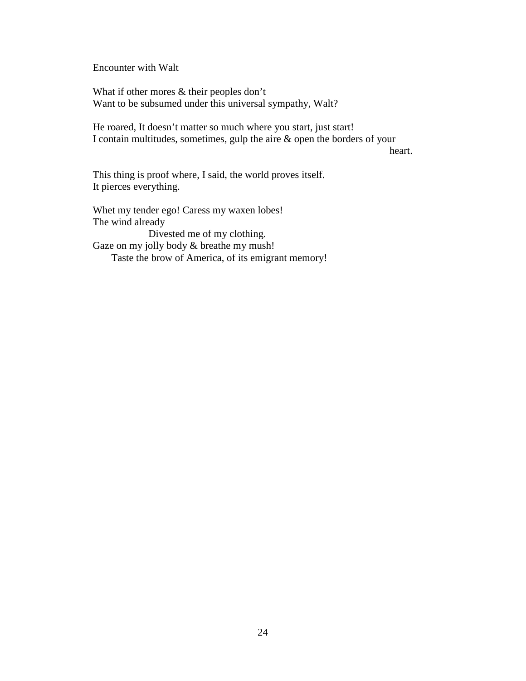Encounter with Walt

What if other mores & their peoples don't Want to be subsumed under this universal sympathy, Walt?

He roared, It doesn't matter so much where you start, just start! I contain multitudes, sometimes, gulp the aire & open the borders of your

heart.

This thing is proof where, I said, the world proves itself. It pierces everything.

Whet my tender ego! Caress my waxen lobes! The wind already Divested me of my clothing. Gaze on my jolly body  $&$  breathe my mush! Taste the brow of America, of its emigrant memory!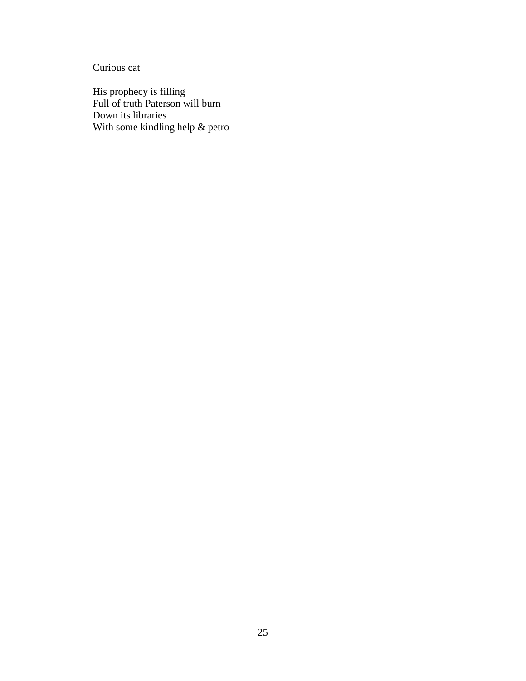Curious cat

His prophecy is filling Full of truth Paterson will burn Down its libraries With some kindling help & petro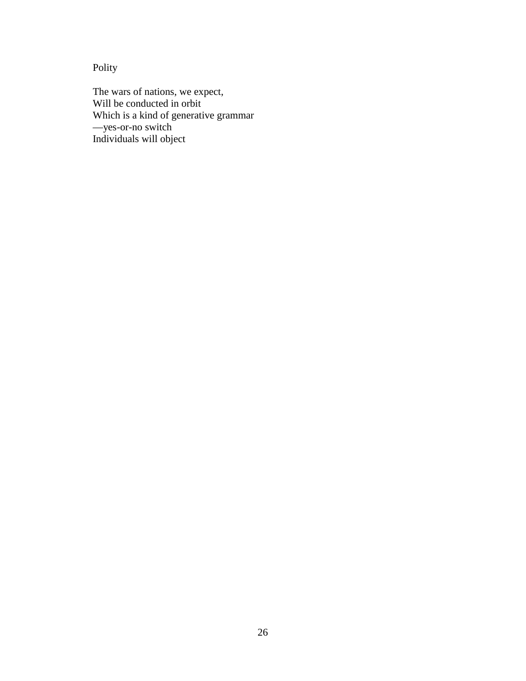Polity

The wars of nations, we expect, Will be conducted in orbit Which is a kind of generative grammar —yes-or-no switch Individuals will object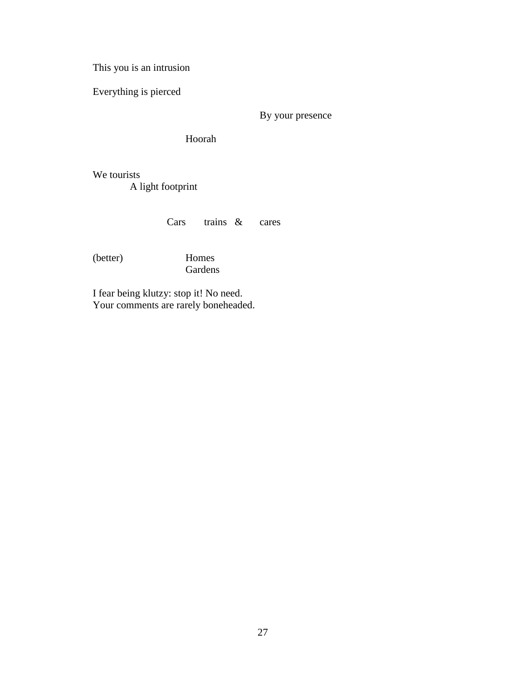This you is an intrusion

Everything is pierced

By your presence

Hoorah

We tourists A light footprint

Cars trains & cares

(better) Homes

Gardens

I fear being klutzy: stop it! No need. Your comments are rarely boneheaded.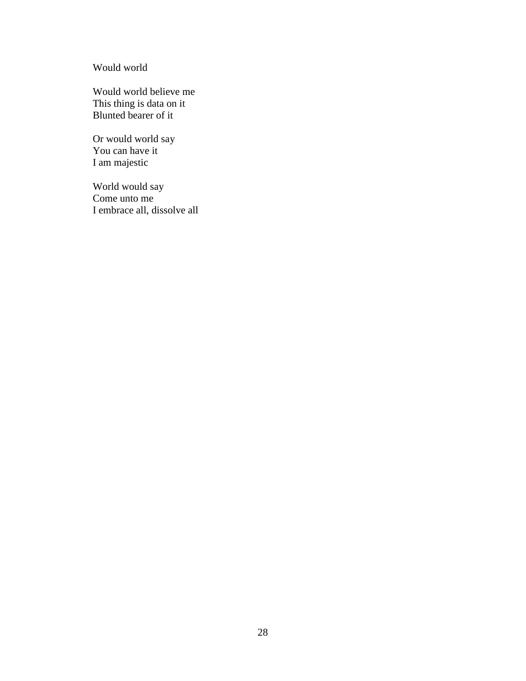Would world

Would world believe me This thing is data on it Blunted bearer of it

Or would world say You can have it I am majestic

World would say Come unto me I embrace all, dissolve all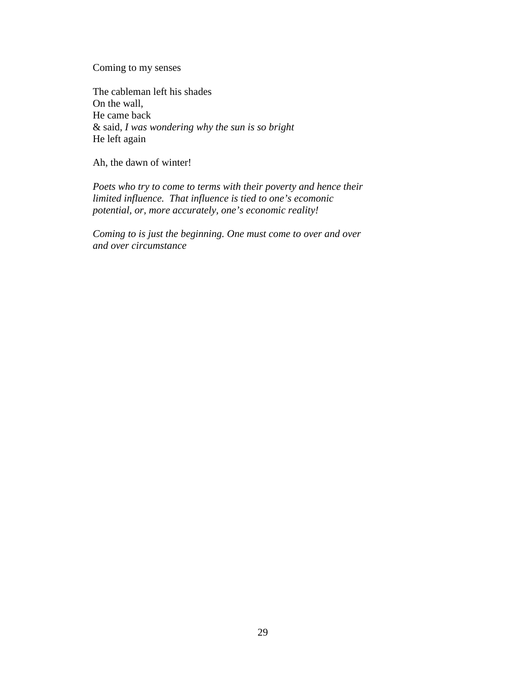Coming to my senses

The cableman left his shades On the wall, He came back & said, *I was wondering why the sun is so bright* He left again

Ah, the dawn of winter!

*Poets who try to come to terms with their poverty and hence their limited influence. That influence is tied to one's ecomonic potential, or, more accurately, one's economic reality!*

*Coming to is just the beginning. One must come to over and over and over circumstance*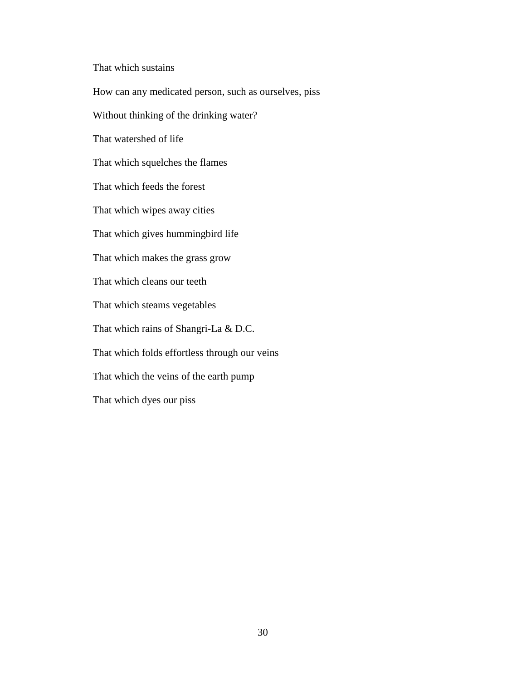That which sustains

How can any medicated person, such as ourselves, piss Without thinking of the drinking water? That watershed of life That which squelches the flames That which feeds the forest That which wipes away cities That which gives hummingbird life That which makes the grass grow That which cleans our teeth That which steams vegetables That which rains of Shangri-La & D.C. That which folds effortless through our veins That which the veins of the earth pump That which dyes our piss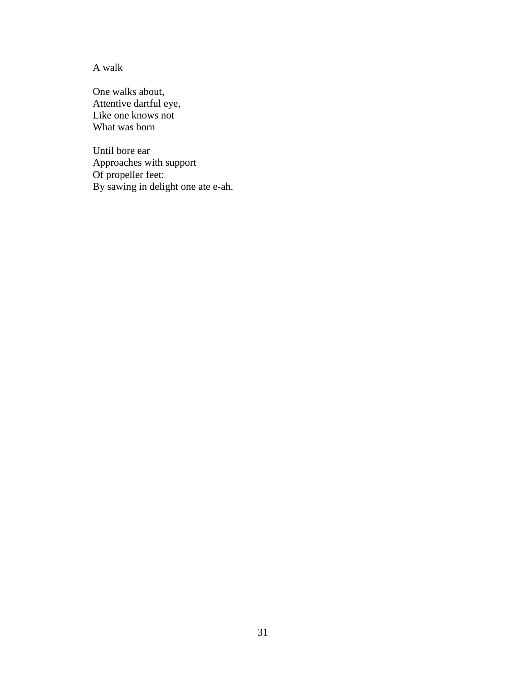A walk

One walks about, Attentive dartful eye, Like one knows not What was born

Until bore ear Approaches with support Of propeller feet: By sawing in delight one ate e-ah.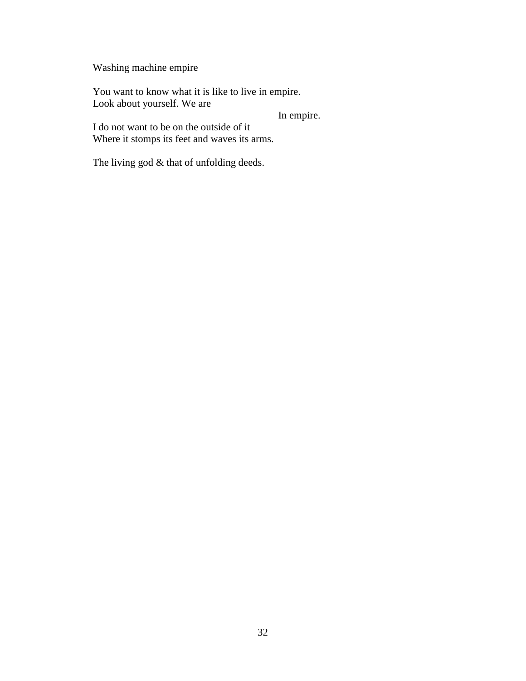Washing machine empire

You want to know what it is like to live in empire. Look about yourself. We are

In empire.

I do not want to be on the outside of it Where it stomps its feet and waves its arms.

The living god & that of unfolding deeds.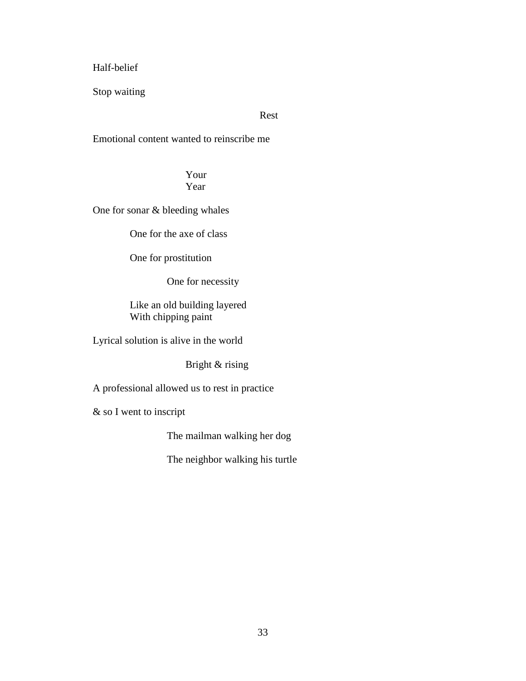Half-belief

Stop waiting

Rest

Emotional content wanted to reinscribe me

Your Year

One for sonar & bleeding whales

One for the axe of class

One for prostitution

One for necessity

Like an old building layered With chipping paint

Lyrical solution is alive in the world

Bright & rising

A professional allowed us to rest in practice

& so I went to inscript

The mailman walking her dog

The neighbor walking his turtle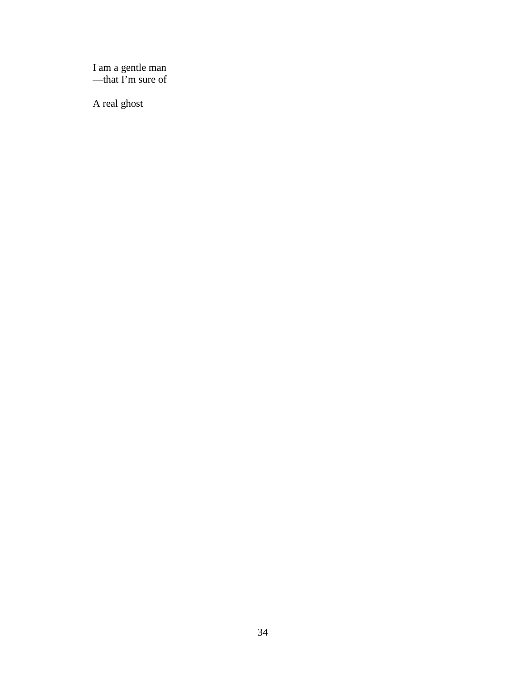I am a gentle man —that I'm sure of

A real ghost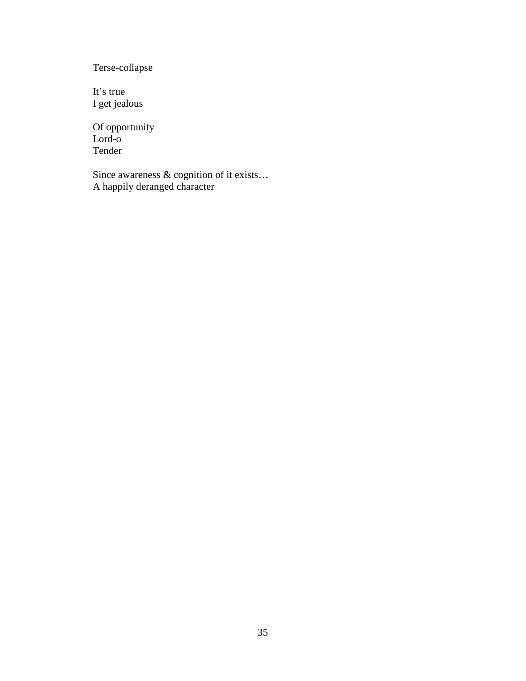Terse-collapse

It's true I get jealous

Of opportunity Lord-o Tender

Since awareness & cognition of it exists… A happily deranged character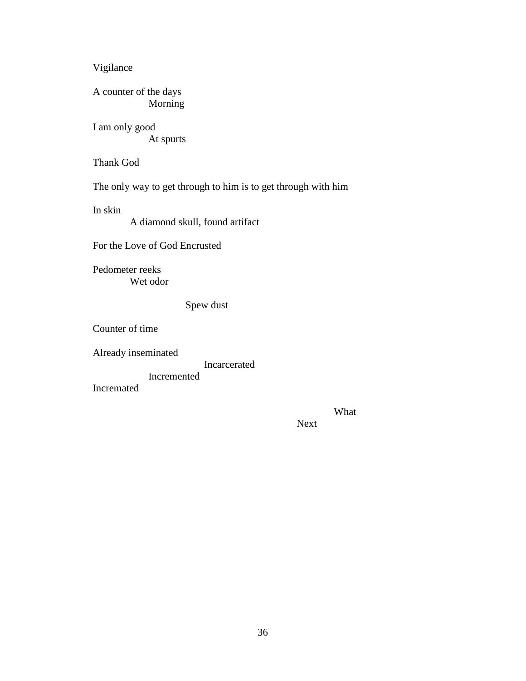Vigilance

A counter of the days Morning

I am only good At spurts

Thank God

The only way to get through to him is to get through with him

In skin

A diamond skull, found artifact

For the Love of God Encrusted

Pedometer reeks Wet odor

Spew dust

Counter of time

Already inseminated

Incarcerated

Incremented

Incremated

What

Next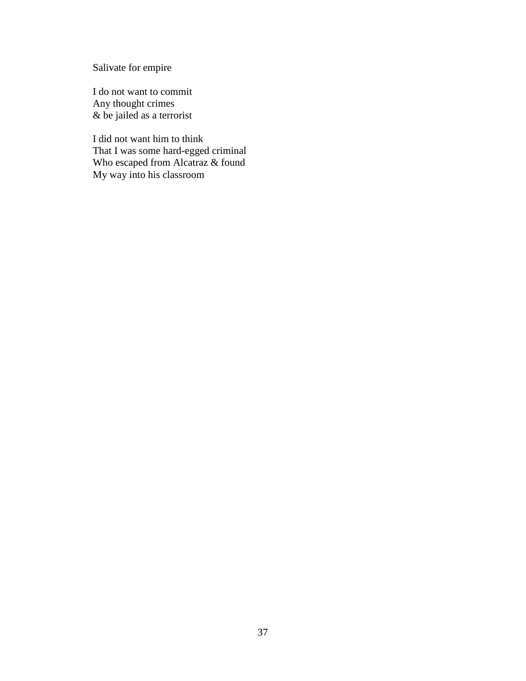Salivate for empire

I do not want to commit Any thought crimes & be jailed as a terrorist

I did not want him to think That I was some hard-egged criminal Who escaped from Alcatraz & found My way into his classroom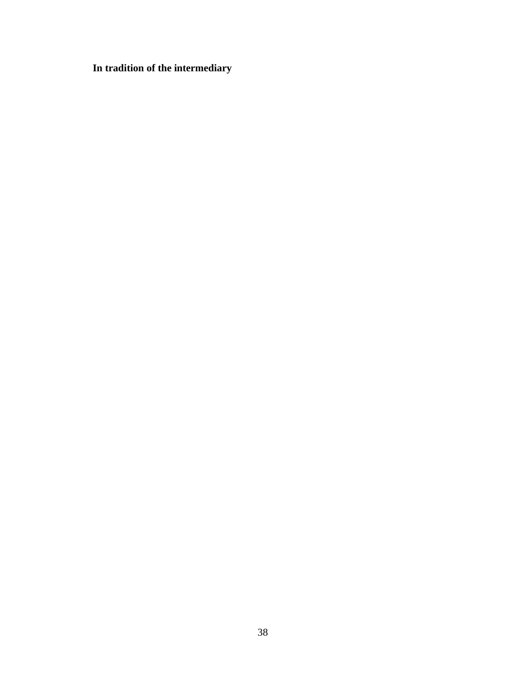**In tradition of the intermediary**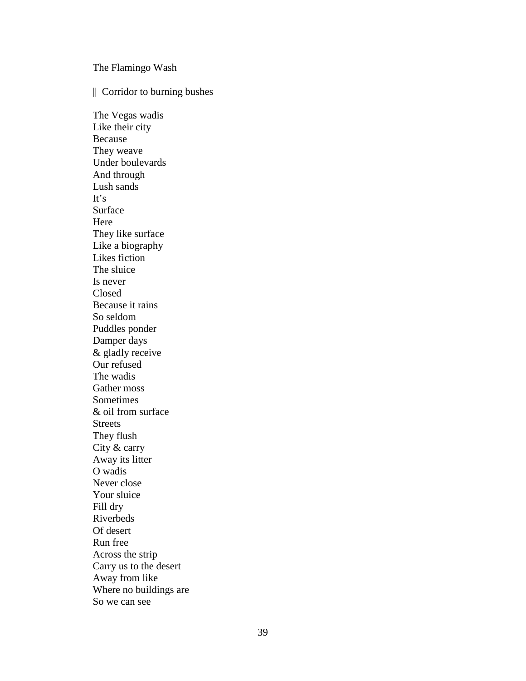The Flamingo Wash

|| Corridor to burning bushes

The Vegas wadis Like their city Because They weave Under boulevards And through Lush sands It's Surface Here They like surface Like a biography Likes fiction The sluice Is never Closed Because it rains So seldom Puddles ponder Damper days & gladly receive Our refused The wadis Gather moss Sometimes & oil from surface **Streets** They flush City & carry Away its litter O wadis Never close Your sluice Fill dry Riverbeds Of desert Run free Across the strip Carry us to the desert Away from like Where no buildings are So we can see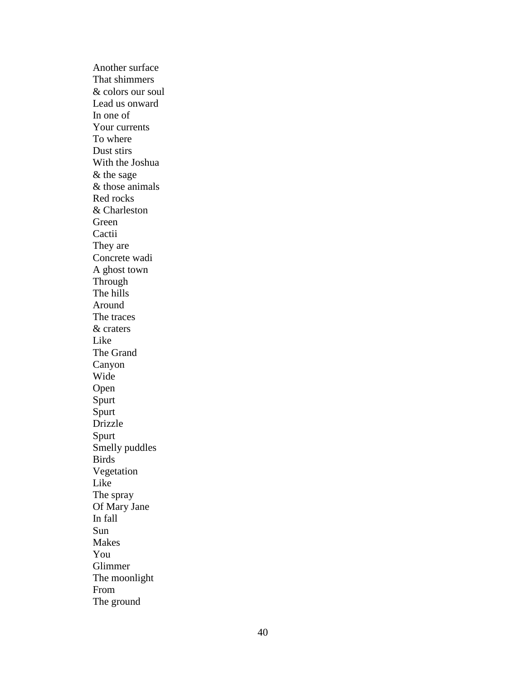Another surface That shimmers & colors our soul Lead us onward In one of Your currents To where Dust stirs With the Joshua & the sage & those animals Red rocks & Charleston Green **Cactii** They are Concrete wadi A ghost town Through The hills Around The traces & craters Like The Grand Canyon Wide Open Spurt Spurt Drizzle Spurt Smelly puddles Birds Vegetation Like The spray Of Mary Jane In fall Sun Makes You Glimmer The moonlight From The ground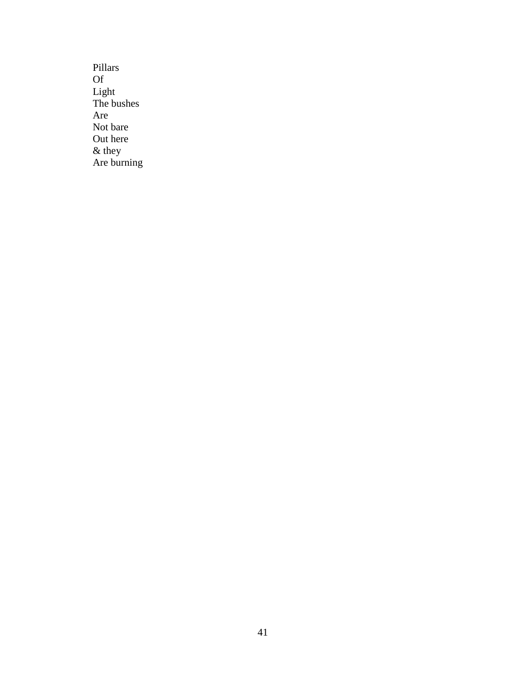Pillars Of Light The bushes Are Not bare Out here & they Are burning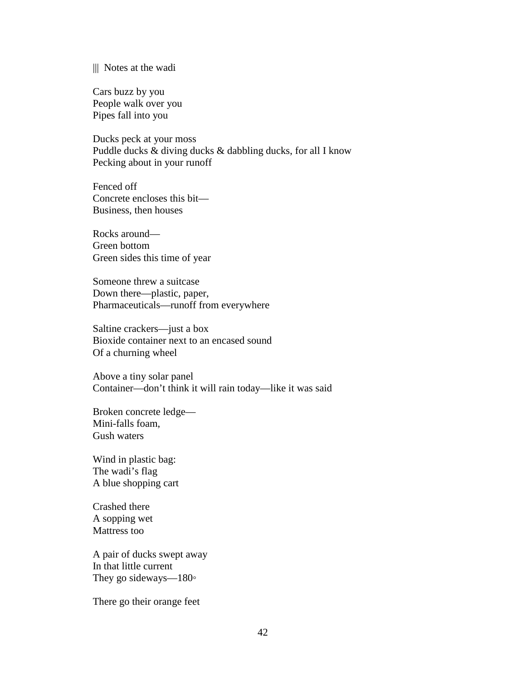#### ||| Notes at the wadi

Cars buzz by you People walk over you Pipes fall into you

Ducks peck at your moss Puddle ducks & diving ducks & dabbling ducks, for all I know Pecking about in your runoff

Fenced off Concrete encloses this bit— Business, then houses

Rocks around— Green bottom Green sides this time of year

Someone threw a suitcase Down there—plastic, paper, Pharmaceuticals—runoff from everywhere

Saltine crackers—just a box Bioxide container next to an encased sound Of a churning wheel

Above a tiny solar panel Container—don't think it will rain today—like it was said

Broken concrete ledge— Mini-falls foam, Gush waters

Wind in plastic bag: The wadi's flag A blue shopping cart

Crashed there A sopping wet Mattress too

A pair of ducks swept away In that little current They go sideways—180◦

There go their orange feet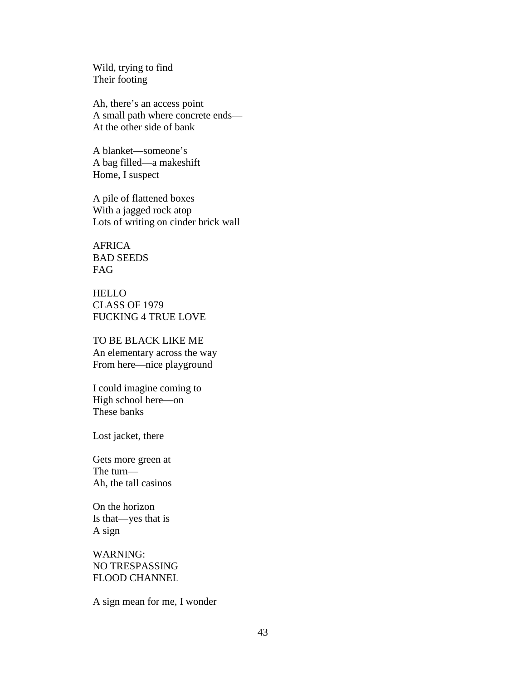Wild, trying to find Their footing

Ah, there's an access point A small path where concrete ends— At the other side of bank

A blanket—someone's A bag filled—a makeshift Home, I suspect

A pile of flattened boxes With a jagged rock atop Lots of writing on cinder brick wall

AFRICA BAD SEEDS FAG

HELLO CLASS OF 1979 FUCKING 4 TRUE LOVE

#### TO BE BLACK LIKE ME

An elementary across the way From here—nice playground

I could imagine coming to High school here—on These banks

Lost jacket, there

Gets more green at The turn— Ah, the tall casinos

On the horizon Is that—yes that is A sign

WARNING: NO TRESPASSING FLOOD CHANNEL

A sign mean for me, I wonder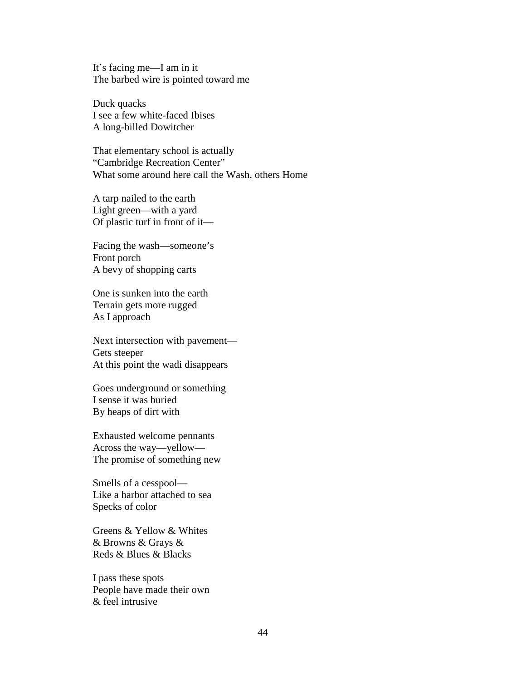It's facing me—I am in it The barbed wire is pointed toward me

Duck quacks I see a few white-faced Ibises A long-billed Dowitcher

That elementary school is actually "Cambridge Recreation Center" What some around here call the Wash, others Home

A tarp nailed to the earth Light green—with a yard Of plastic turf in front of it—

Facing the wash—someone's Front porch A bevy of shopping carts

One is sunken into the earth Terrain gets more rugged As I approach

Next intersection with pavement— Gets steeper At this point the wadi disappears

Goes underground or something I sense it was buried By heaps of dirt with

Exhausted welcome pennants Across the way—yellow— The promise of something new

Smells of a cesspool— Like a harbor attached to sea Specks of color

Greens & Yellow & Whites & Browns & Grays & Reds & Blues & Blacks

I pass these spots People have made their own & feel intrusive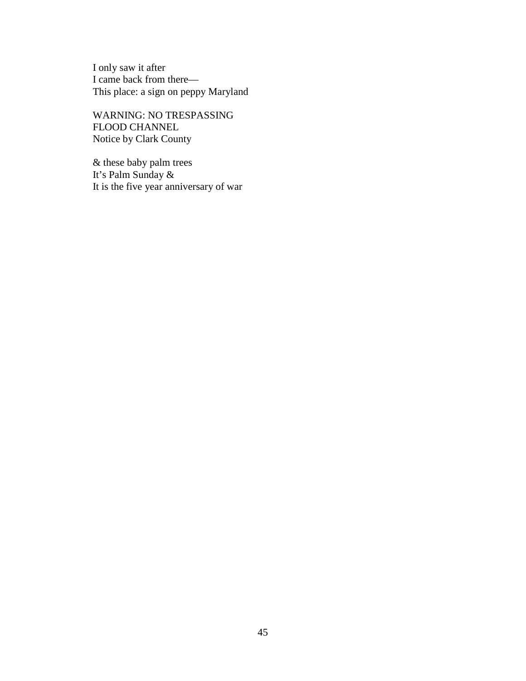I only saw it after I came back from there— This place: a sign on peppy Maryland

WARNING: NO TRESPASSING FLOOD CHANNEL Notice by Clark County

& these baby palm trees It's Palm Sunday & It is the five year anniversary of war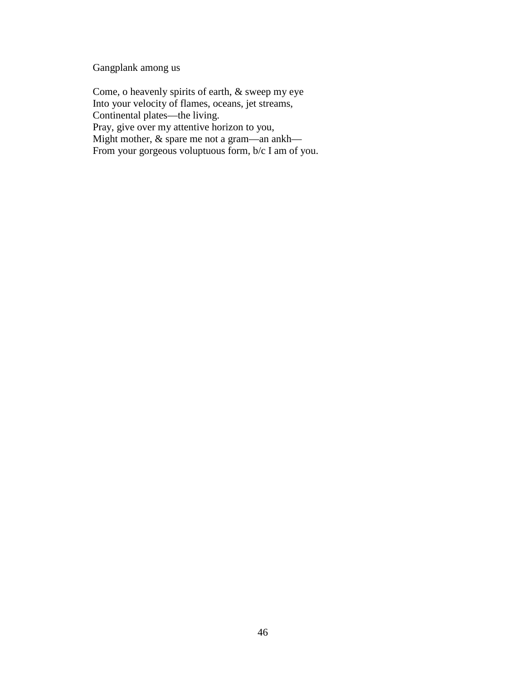Gangplank among us

Come, o heavenly spirits of earth, & sweep my eye Into your velocity of flames, oceans, jet streams, Continental plates—the living. Pray, give over my attentive horizon to you, Might mother, & spare me not a gram—an ankh— From your gorgeous voluptuous form, b/c I am of you.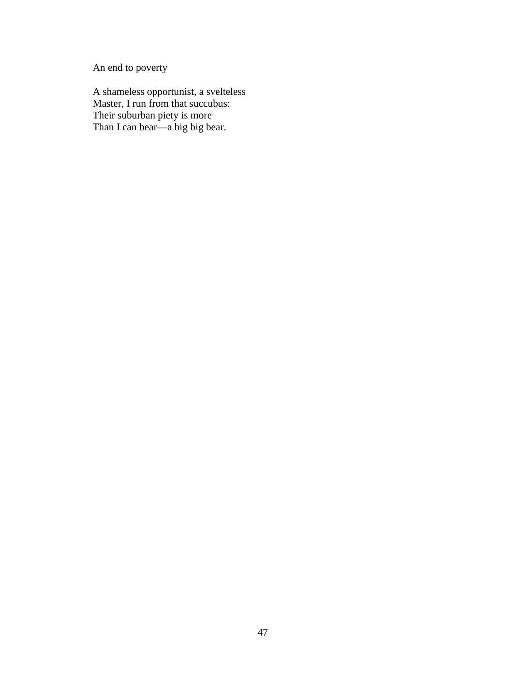An end to poverty

A shameless opportunist, a svelteless Master, I run from that succubus: Their suburban piety is more Than I can bear—a big big bear.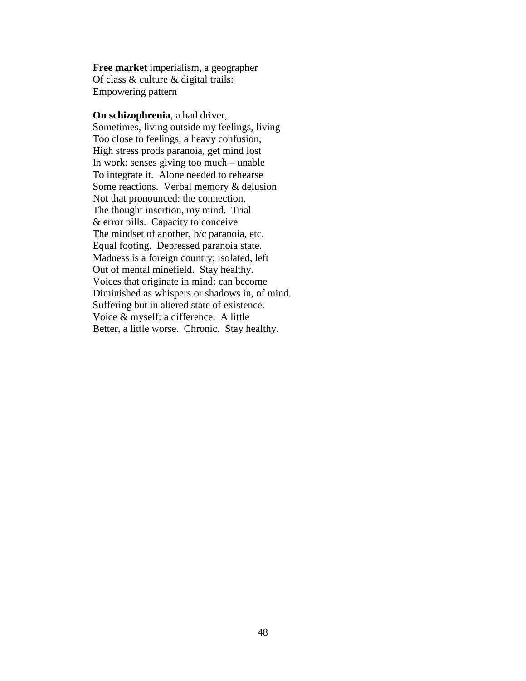**Free market** imperialism, a geographer Of class & culture & digital trails: Empowering pattern

**On schizophrenia**, a bad driver, Sometimes, living outside my feelings, living Too close to feelings, a heavy confusion, High stress prods paranoia, get mind lost In work: senses giving too much – unable To integrate it. Alone needed to rehearse Some reactions. Verbal memory & delusion Not that pronounced: the connection, The thought insertion, my mind. Trial & error pills. Capacity to conceive The mindset of another, b/c paranoia, etc. Equal footing. Depressed paranoia state. Madness is a foreign country; isolated, left Out of mental minefield. Stay healthy. Voices that originate in mind: can become Diminished as whispers or shadows in, of mind. Suffering but in altered state of existence. Voice & myself: a difference. A little Better, a little worse. Chronic. Stay healthy.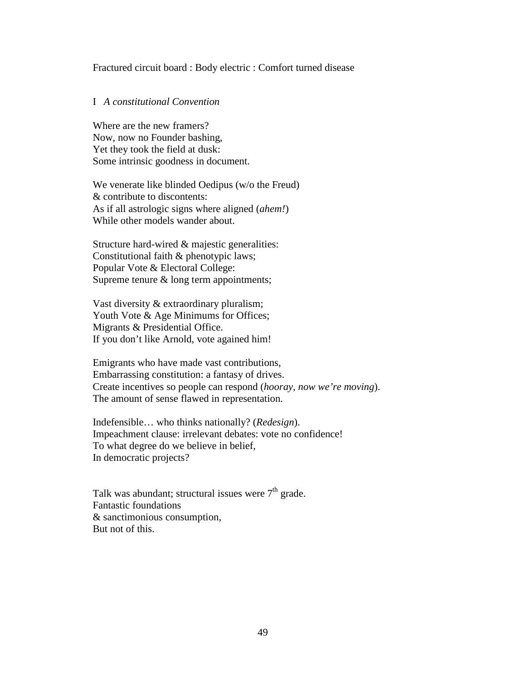#### Fractured circuit board : Body electric : Comfort turned disease

## I *A constitutional Convention*

Where are the new framers? Now, now no Founder bashing, Yet they took the field at dusk: Some intrinsic goodness in document.

We venerate like blinded Oedipus (w/o the Freud) & contribute to discontents: As if all astrologic signs where aligned (*ahem!*) While other models wander about.

Structure hard-wired & majestic generalities: Constitutional faith & phenotypic laws; Popular Vote & Electoral College: Supreme tenure & long term appointments;

Vast diversity & extraordinary pluralism; Youth Vote & Age Minimums for Offices; Migrants & Presidential Office. If you don't like Arnold, vote agained him!

Emigrants who have made vast contributions, Embarrassing constitution: a fantasy of drives. Create incentives so people can respond (*hooray, now we're moving*). The amount of sense flawed in representation.

Indefensible… who thinks nationally? (*Redesign*). Impeachment clause: irrelevant debates: vote no confidence! To what degree do we believe in belief, In democratic projects?

Talk was abundant; structural issues were  $7<sup>th</sup>$  grade. Fantastic foundations & sanctimonious consumption, But not of this.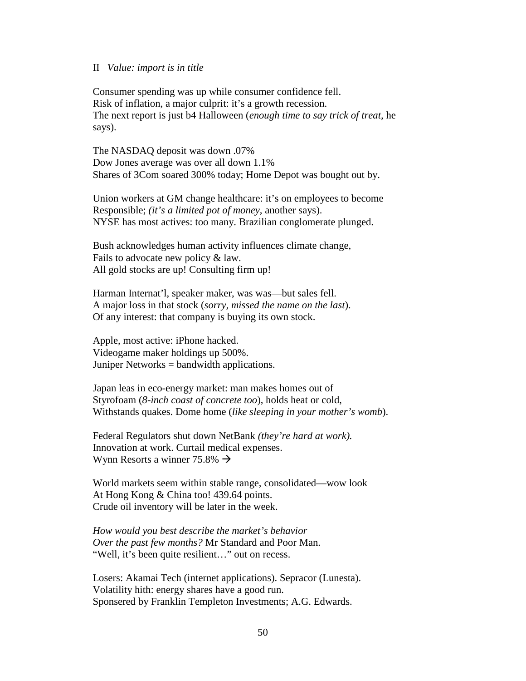#### II *Value: import is in title*

Consumer spending was up while consumer confidence fell. Risk of inflation, a major culprit: it's a growth recession. The next report is just b4 Halloween (*enough time to say trick of treat,* he says).

The NASDAQ deposit was down .07% Dow Jones average was over all down 1.1% Shares of 3Com soared 300% today; Home Depot was bought out by.

Union workers at GM change healthcare: it's on employees to become Responsible; *(it's a limited pot of money*, another says). NYSE has most actives: too many. Brazilian conglomerate plunged.

Bush acknowledges human activity influences climate change, Fails to advocate new policy & law. All gold stocks are up! Consulting firm up!

Harman Internat'l, speaker maker, was was—but sales fell. A major loss in that stock (*sorry, missed the name on the last*). Of any interest: that company is buying its own stock.

Apple, most active: iPhone hacked. Videogame maker holdings up 500%. Juniper Networks = bandwidth applications.

Japan leas in eco-energy market: man makes homes out of Styrofoam (*8-inch coast of concrete too*), holds heat or cold, Withstands quakes. Dome home (*like sleeping in your mother's womb*).

Federal Regulators shut down NetBank *(they're hard at work).* Innovation at work. Curtail medical expenses. Wynn Resorts a winner 75.8%  $\rightarrow$ 

World markets seem within stable range, consolidated—wow look At Hong Kong & China too! 439.64 points. Crude oil inventory will be later in the week.

*How would you best describe the market's behavior Over the past few months?* Mr Standard and Poor Man. "Well, it's been quite resilient…" out on recess.

Losers: Akamai Tech (internet applications). Sepracor (Lunesta). Volatility hith: energy shares have a good run. Sponsered by Franklin Templeton Investments; A.G. Edwards.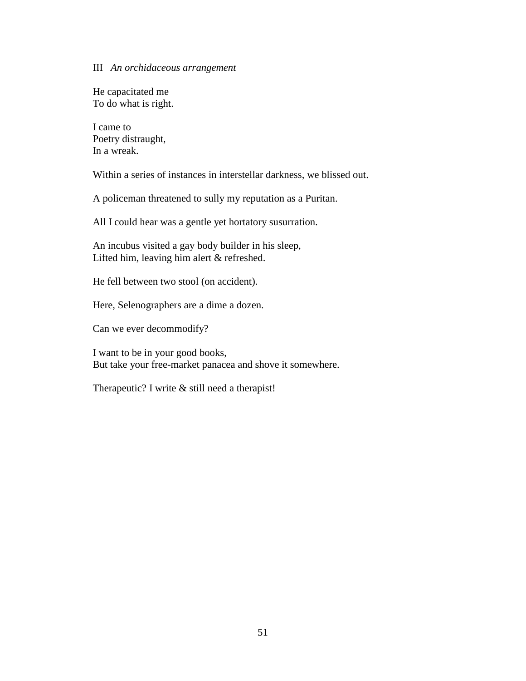#### III *An orchidaceous arrangement*

He capacitated me To do what is right.

I came to Poetry distraught, In a wreak.

Within a series of instances in interstellar darkness, we blissed out.

A policeman threatened to sully my reputation as a Puritan.

All I could hear was a gentle yet hortatory susurration.

An incubus visited a gay body builder in his sleep, Lifted him, leaving him alert & refreshed.

He fell between two stool (on accident).

Here, Selenographers are a dime a dozen.

Can we ever decommodify?

I want to be in your good books, But take your free-market panacea and shove it somewhere.

Therapeutic? I write & still need a therapist!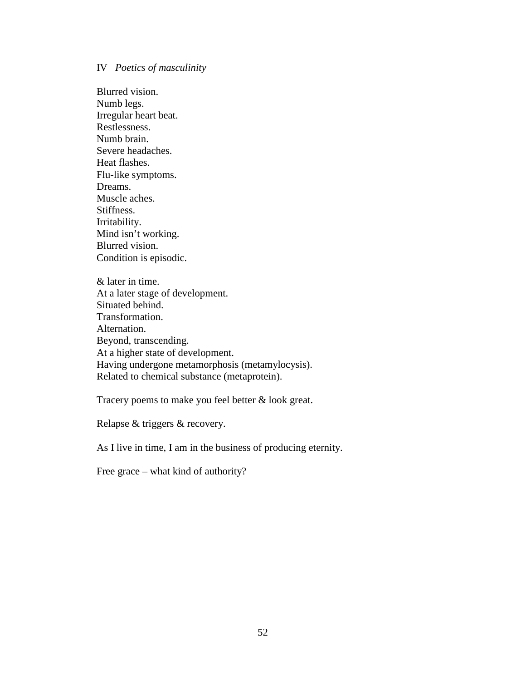#### IV *Poetics of masculinity*

Blurred vision. Numb legs. Irregular heart beat. Restlessness. Numb brain. Severe headaches. Heat flashes. Flu-like symptoms. Dreams. Muscle aches. Stiffness. Irritability. Mind isn't working. Blurred vision. Condition is episodic.

& later in time. At a later stage of development. Situated behind. Transformation. Alternation. Beyond, transcending. At a higher state of development. Having undergone metamorphosis (metamylocysis). Related to chemical substance (metaprotein).

Tracery poems to make you feel better & look great.

Relapse & triggers & recovery.

As I live in time, I am in the business of producing eternity.

Free grace – what kind of authority?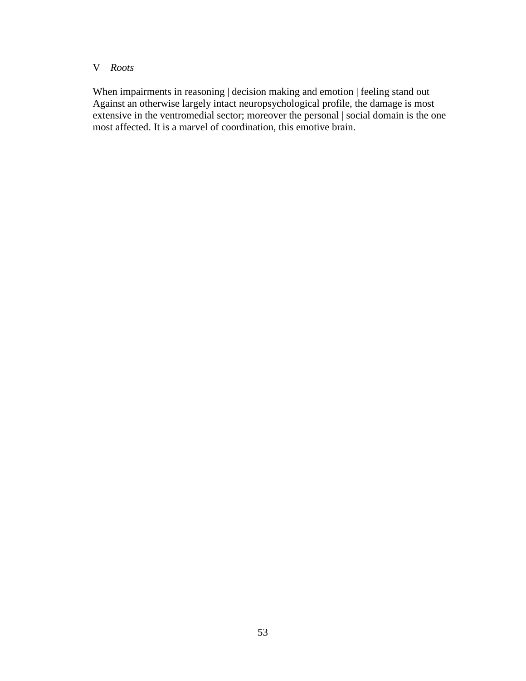## V *Roots*

When impairments in reasoning | decision making and emotion | feeling stand out Against an otherwise largely intact neuropsychological profile, the damage is most extensive in the ventromedial sector; moreover the personal | social domain is the one most affected. It is a marvel of coordination, this emotive brain.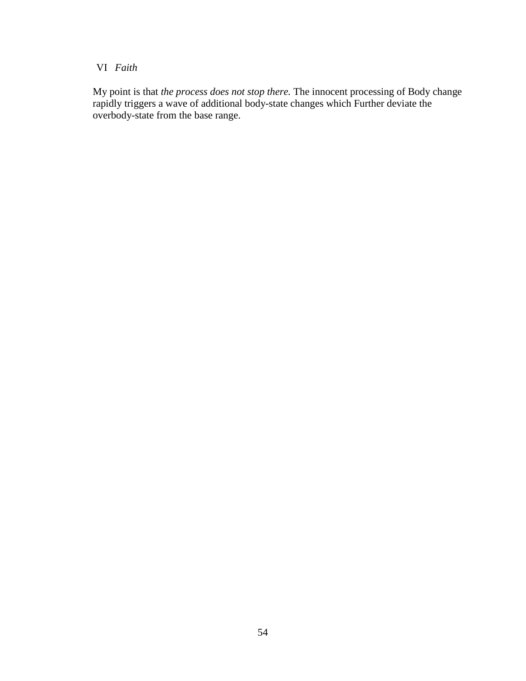# VI *Faith*

My point is that *the process does not stop there.* The innocent processing of Body change rapidly triggers a wave of additional body-state changes which Further deviate the overbody-state from the base range.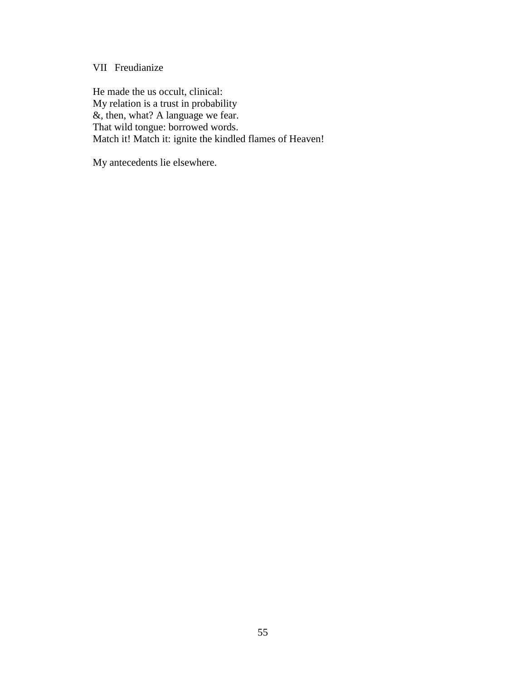# VII Freudianize

He made the us occult, clinical: My relation is a trust in probability &, then, what? A language we fear. That wild tongue: borrowed words. Match it! Match it: ignite the kindled flames of Heaven!

My antecedents lie elsewhere.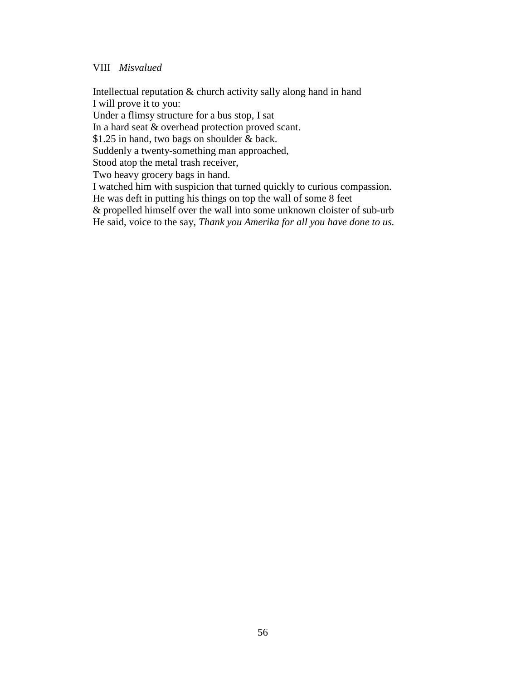#### VIII *Misvalued*

Intellectual reputation & church activity sally along hand in hand I will prove it to you:

Under a flimsy structure for a bus stop, I sat

In a hard seat & overhead protection proved scant.

\$1.25 in hand, two bags on shoulder & back.

Suddenly a twenty-something man approached,

Stood atop the metal trash receiver,

Two heavy grocery bags in hand.

I watched him with suspicion that turned quickly to curious compassion.

He was deft in putting his things on top the wall of some 8 feet

& propelled himself over the wall into some unknown cloister of sub-urb

He said, voice to the say, *Thank you Amerika for all you have done to us.*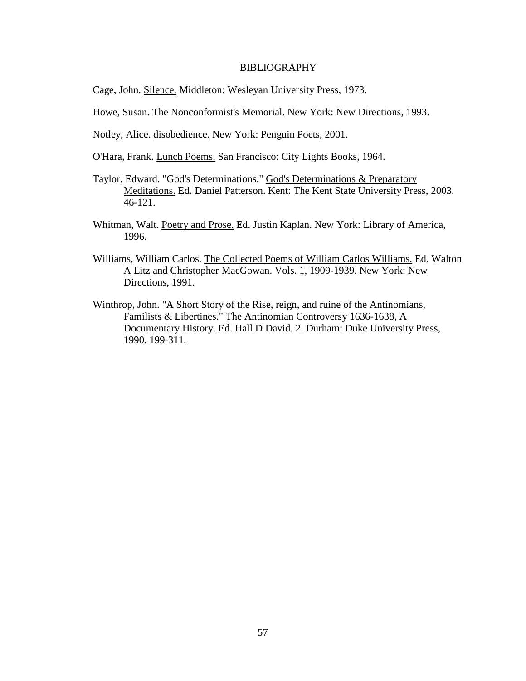#### BIBLIOGRAPHY

Cage, John. Silence. Middleton: Wesleyan University Press, 1973.

Howe, Susan. The Nonconformist's Memorial. New York: New Directions, 1993.

Notley, Alice. disobedience. New York: Penguin Poets, 2001.

O'Hara, Frank. Lunch Poems. San Francisco: City Lights Books, 1964.

- Taylor, Edward. "God's Determinations." God's Determinations & Preparatory Meditations. Ed. Daniel Patterson. Kent: The Kent State University Press, 2003. 46-121.
- Whitman, Walt. Poetry and Prose. Ed. Justin Kaplan. New York: Library of America, 1996.
- Williams, William Carlos. The Collected Poems of William Carlos Williams. Ed. Walton A Litz and Christopher MacGowan. Vols. 1, 1909-1939. New York: New Directions, 1991.
- Winthrop, John. "A Short Story of the Rise, reign, and ruine of the Antinomians, Familists & Libertines." The Antinomian Controversy 1636-1638, A Documentary History. Ed. Hall D David. 2. Durham: Duke University Press, 1990. 199-311.